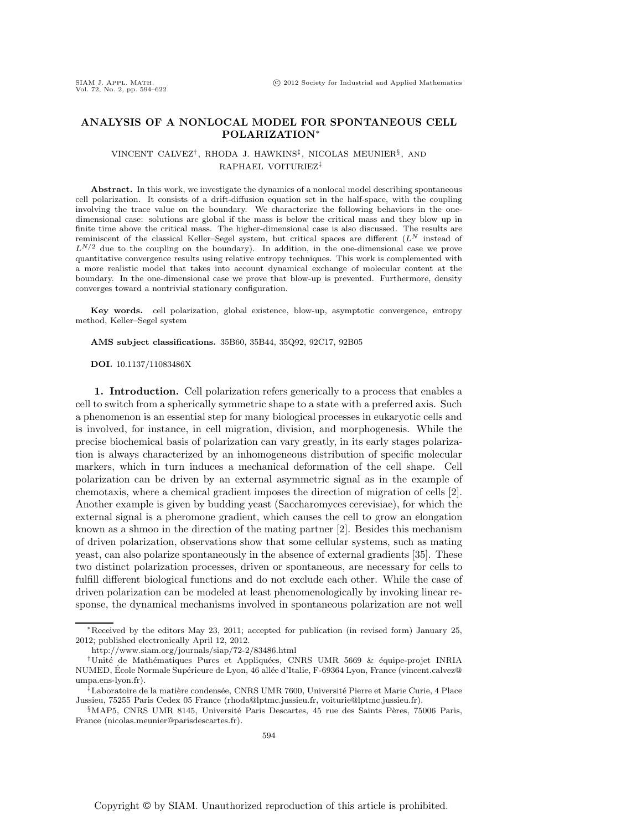# **ANALYSIS OF A NONLOCAL MODEL FOR SPONTANEOUS CELL POLARIZATION**∗

## VINCENT CALVEZ† , RHODA J. HAWKINS‡, NICOLAS MEUNIER§, AND RAPHAEL VOITURIEZ‡

**Abstract.** In this work, we investigate the dynamics of a nonlocal model describing spontaneous cell polarization. It consists of a drift-diffusion equation set in the half-space, with the coupling involving the trace value on the boundary. We characterize the following behaviors in the onedimensional case: solutions are global if the mass is below the critical mass and they blow up in finite time above the critical mass. The higher-dimensional case is also discussed. The results are reminiscent of the classical Keller–Segel system, but critical spaces are different (*L<sup>N</sup>* instead of *LN/*<sup>2</sup> due to the coupling on the boundary). In addition, in the one-dimensional case we prove quantitative convergence results using relative entropy techniques. This work is complemented with a more realistic model that takes into account dynamical exchange of molecular content at the boundary. In the one-dimensional case we prove that blow-up is prevented. Furthermore, density converges toward a nontrivial stationary configuration.

**Key words.** cell polarization, global existence, blow-up, asymptotic convergence, entropy method, Keller–Segel system

**AMS subject classifications.** 35B60, 35B44, 35Q92, 92C17, 92B05

**DOI.** 10.1137/11083486X

**1. Introduction.** Cell polarization refers generically to a process that enables a cell to switch from a spherically symmetric shape to a state with a preferred axis. Such a phenomenon is an essential step for many biological processes in eukaryotic cells and is involved, for instance, in cell migration, division, and morphogenesis. While the precise biochemical basis of polarization can vary greatly, in its early stages polarization is always characterized by an inhomogeneous distribution of specific molecular markers, which in turn induces a mechanical deformation of the cell shape. Cell polarization can be driven by an external asymmetric signal as in the example of chemotaxis, where a chemical gradient imposes the direction of migration of cells [2]. Another example is given by budding yeast (Saccharomyces cerevisiae), for which the external signal is a pheromone gradient, which causes the cell to grow an elongation known as a shmoo in the direction of the mating partner [2]. Besides this mechanism of driven polarization, observations show that some cellular systems, such as mating yeast, can also polarize spontaneously in the absence of external gradients [35]. These two distinct polarization processes, driven or spontaneous, are necessary for cells to fulfill different biological functions and do not exclude each other. While the case of driven polarization can be modeled at least phenomenologically by invoking linear response, the dynamical mechanisms involved in spontaneous polarization are not well

<sup>∗</sup>Received by the editors May 23, 2011; accepted for publication (in revised form) January 25, 2012; published electronically April 12, 2012.

http://www.siam.org/journals/siap/72-2/83486.html

<sup>&</sup>lt;sup>†</sup>Unité de Mathématiques Pures et Appliquées, CNRS UMR 5669 & équipe-projet INRIA NUMED, École Normale Supérieure de Lyon, 46 allée d'Italie, F-69364 Lyon, France (vincent.calvez@ umpa.ens-lyon.fr).

 $\ddagger$ Laboratoire de la matière condensée, CNRS UMR 7600, Université Pierre et Marie Curie, 4 Place Jussieu, 75255 Paris Cedex 05 France (rhoda@lptmc.jussieu.fr, voiturie@lptmc.jussieu.fr).

 $\S$ MAP5, CNRS UMR 8145, Université Paris Descartes, 45 rue des Saints Pères, 75006 Paris, France (nicolas.meunier@parisdescartes.fr).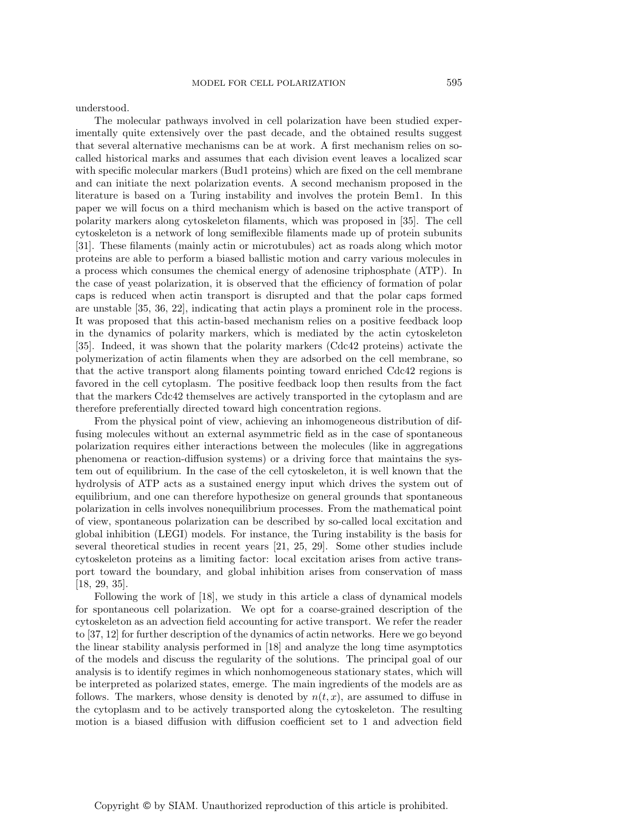understood.

The molecular pathways involved in cell polarization have been studied experimentally quite extensively over the past decade, and the obtained results suggest that several alternative mechanisms can be at work. A first mechanism relies on socalled historical marks and assumes that each division event leaves a localized scar with specific molecular markers (Bud1 proteins) which are fixed on the cell membrane and can initiate the next polarization events. A second mechanism proposed in the literature is based on a Turing instability and involves the protein Bem1. In this paper we will focus on a third mechanism which is based on the active transport of polarity markers along cytoskeleton filaments, which was proposed in [35]. The cell cytoskeleton is a network of long semiflexible filaments made up of protein subunits [31]. These filaments (mainly actin or microtubules) act as roads along which motor proteins are able to perform a biased ballistic motion and carry various molecules in a process which consumes the chemical energy of adenosine triphosphate (ATP). In the case of yeast polarization, it is observed that the efficiency of formation of polar caps is reduced when actin transport is disrupted and that the polar caps formed are unstable [35, 36, 22], indicating that actin plays a prominent role in the process. It was proposed that this actin-based mechanism relies on a positive feedback loop in the dynamics of polarity markers, which is mediated by the actin cytoskeleton [35]. Indeed, it was shown that the polarity markers (Cdc42 proteins) activate the polymerization of actin filaments when they are adsorbed on the cell membrane, so that the active transport along filaments pointing toward enriched Cdc42 regions is favored in the cell cytoplasm. The positive feedback loop then results from the fact that the markers Cdc42 themselves are actively transported in the cytoplasm and are therefore preferentially directed toward high concentration regions.

From the physical point of view, achieving an inhomogeneous distribution of diffusing molecules without an external asymmetric field as in the case of spontaneous polarization requires either interactions between the molecules (like in aggregations phenomena or reaction-diffusion systems) or a driving force that maintains the system out of equilibrium. In the case of the cell cytoskeleton, it is well known that the hydrolysis of ATP acts as a sustained energy input which drives the system out of equilibrium, and one can therefore hypothesize on general grounds that spontaneous polarization in cells involves nonequilibrium processes. From the mathematical point of view, spontaneous polarization can be described by so-called local excitation and global inhibition (LEGI) models. For instance, the Turing instability is the basis for several theoretical studies in recent years [21, 25, 29]. Some other studies include cytoskeleton proteins as a limiting factor: local excitation arises from active transport toward the boundary, and global inhibition arises from conservation of mass [18, 29, 35].

Following the work of [18], we study in this article a class of dynamical models for spontaneous cell polarization. We opt for a coarse-grained description of the cytoskeleton as an advection field accounting for active transport. We refer the reader to [37, 12] for further description of the dynamics of actin networks. Here we go beyond the linear stability analysis performed in [18] and analyze the long time asymptotics of the models and discuss the regularity of the solutions. The principal goal of our analysis is to identify regimes in which nonhomogeneous stationary states, which will be interpreted as polarized states, emerge. The main ingredients of the models are as follows. The markers, whose density is denoted by  $n(t, x)$ , are assumed to diffuse in the cytoplasm and to be actively transported along the cytoskeleton. The resulting motion is a biased diffusion with diffusion coefficient set to 1 and advection field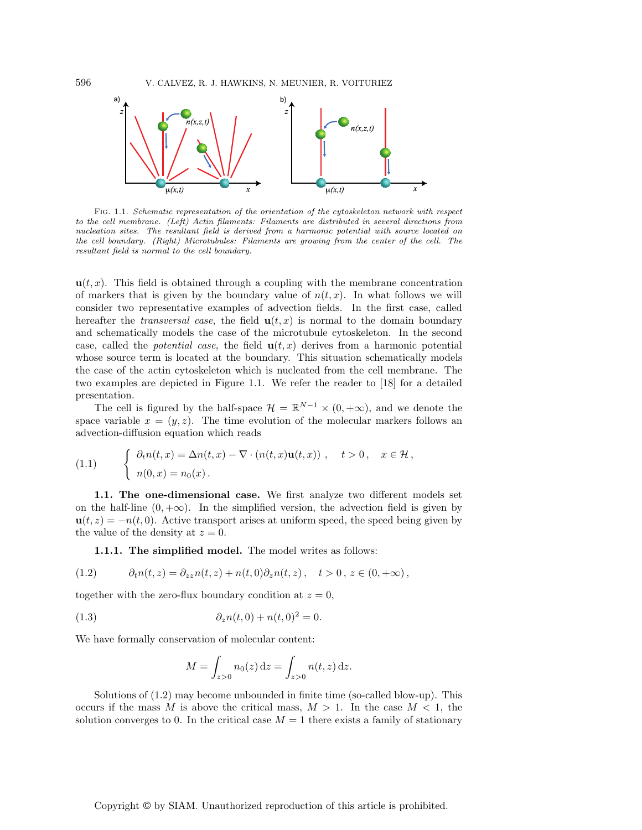

Fig. 1.1. Schematic representation of the orientation of the cytoskeleton network with respect to the cell membrane. (Left) Actin filaments: Filaments are distributed in several directions from nucleation sites. The resultant field is derived from a harmonic potential with source located on the cell boundary. (Right) Microtubules: Filaments are growing from the center of the cell. The resultant field is normal to the cell boundary.

 $\mathbf{u}(t, x)$ . This field is obtained through a coupling with the membrane concentration of markers that is given by the boundary value of  $n(t, x)$ . In what follows we will consider two representative examples of advection fields. In the first case, called hereafter the *transversal case*, the field  $\mathbf{u}(t, x)$  is normal to the domain boundary and schematically models the case of the microtubule cytoskeleton. In the second case, called the *potential case*, the field  $\mathbf{u}(t, x)$  derives from a harmonic potential whose source term is located at the boundary. This situation schematically models the case of the actin cytoskeleton which is nucleated from the cell membrane. The two examples are depicted in Figure 1.1. We refer the reader to [18] for a detailed presentation.

The cell is figured by the half-space  $\mathcal{H} = \mathbb{R}^{N-1} \times (0, +\infty)$ , and we denote the space variable  $x = (y, z)$ . The time evolution of the molecular markers follows an advection-diffusion equation which reads

(1.1) 
$$
\begin{cases} \partial_t n(t,x) = \Delta n(t,x) - \nabla \cdot (n(t,x) \mathbf{u}(t,x)), & t > 0, \quad x \in \mathcal{H}, \\ n(0,x) = n_0(x). \end{cases}
$$

**1.1. The one-dimensional case.** We first analyze two different models set on the half-line  $(0, +\infty)$ . In the simplified version, the advection field is given by  $u(t, z) = -n(t, 0)$ . Active transport arises at uniform speed, the speed being given by the value of the density at  $z = 0$ .

**1.1.1. The simplified model.** The model writes as follows:

$$
(1.2) \qquad \partial_t n(t,z) = \partial_{zz} n(t,z) + n(t,0)\partial_z n(t,z), \quad t > 0, \, z \in (0,+\infty),
$$

together with the zero-flux boundary condition at  $z = 0$ ,

(1.3) 
$$
\partial_z n(t,0) + n(t,0)^2 = 0.
$$

We have formally conservation of molecular content:

$$
M = \int_{z>0} n_0(z) dz = \int_{z>0} n(t, z) dz.
$$

Solutions of (1.2) may become unbounded in finite time (so-called blow-up). This occurs if the mass M is above the critical mass,  $M > 1$ . In the case  $M < 1$ , the solution converges to 0. In the critical case  $M = 1$  there exists a family of stationary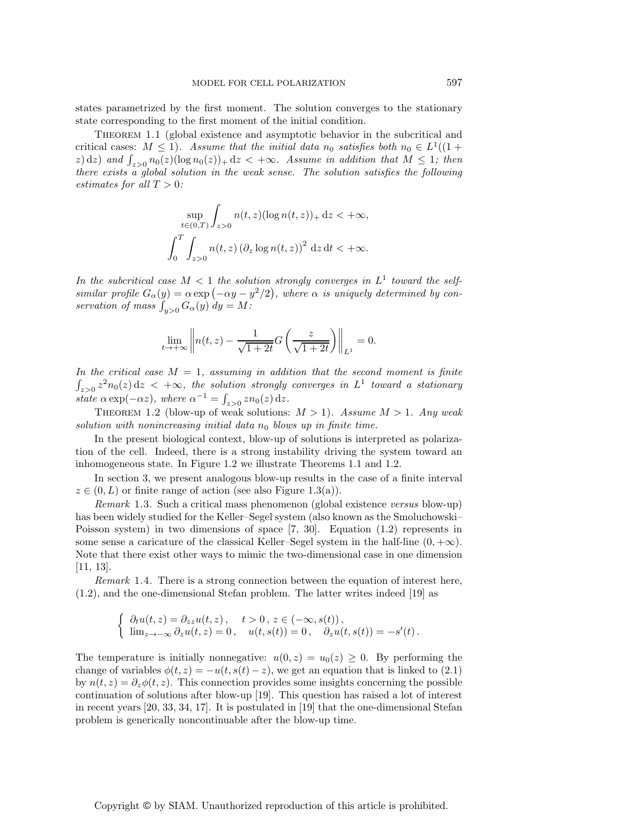states parametrized by the first moment. The solution converges to the stationary state corresponding to the first moment of the initial condition.

Theorem 1.1 (global existence and asymptotic behavior in the subcritical and critical cases:  $M \leq 1$ ). Assume that the initial data  $n_0$  satisfies both  $n_0 \in L^1((1 +$  $(z)$  dz) and  $\int_{z>0} n_0(z)(\log n_0(z))_+ dz < +\infty$ . Assume in addition that  $M \leq 1$ ; then *there exists a global solution in the weak sense. The solution satisfies the following estimates for all*  $T > 0$ *:* 

$$
\sup_{t \in (0,T)} \int_{z>0} n(t,z)(\log n(t,z))_+ dz < +\infty,
$$

$$
\int_0^T \int_{z>0} n(t,z) (\partial_z \log n(t,z))^2 dz dt < +\infty.
$$

In the subcritical case  $M < 1$  the solution strongly converges in  $L^1$  toward the self $similar\ profile\ G_{\alpha}(y) = \alpha \exp(-\alpha y - y^2/2),\ where\ \alpha\ is\ uniquely\ determined\ by\ con$ servation of mass  $\int_{y>0} G_{\alpha}(y) dy = M$ :

$$
\lim_{t \to +\infty} \left\| n(t, z) - \frac{1}{\sqrt{1 + 2t}} G\left(\frac{z}{\sqrt{1 + 2t}}\right) \right\|_{L^1} = 0.
$$

*In the critical case* M = 1*, assuming in addition that the second moment is finite*  $\int_{z>0} z^2 n_0(z) dz < +\infty$ , the solution strongly converges in  $L^1$  toward a stationary *state*  $\alpha \exp(-\alpha z)$ *, where*  $\alpha^{-1} = \int_{z>0}^{z} z n_0(z) dz$ *.* 

THEOREM 1.2 (blow-up of weak solutions:  $M > 1$ ). Assume  $M > 1$ . Any weak *solution with nonincreasing initial data*  $n_0$  *blows up in finite time.* 

In the present biological context, blow-up of solutions is interpreted as polarization of the cell. Indeed, there is a strong instability driving the system toward an inhomogeneous state. In Figure 1.2 we illustrate Theorems 1.1 and 1.2.

In section 3, we present analogous blow-up results in the case of a finite interval  $z \in (0, L)$  or finite range of action (see also Figure 1.3(a)).

*Remark* 1.3. Such a critical mass phenomenon (global existence *versus* blow-up) has been widely studied for the Keller–Segel system (also known as the Smoluchowski– Poisson system) in two dimensions of space [7, 30]. Equation (1.2) represents in some sense a caricature of the classical Keller–Segel system in the half-line  $(0, +\infty)$ . Note that there exist other ways to mimic the two-dimensional case in one dimension [11, 13].

*Remark* 1.4. There is a strong connection between the equation of interest here, (1.2), and the one-dimensional Stefan problem. The latter writes indeed [19] as

$$
\begin{cases} \n\partial_t u(t,z) = \partial_{zz} u(t,z), & t > 0, \, z \in (-\infty, s(t)), \\ \n\lim_{z \to -\infty} \partial_z u(t,z) = 0, & u(t, s(t)) = 0, \quad \partial_z u(t, s(t)) = -s'(t) \, .\n\end{cases}
$$

The temperature is initially nonnegative:  $u(0, z) = u_0(z) \geq 0$ . By performing the change of variables  $\phi(t, z) = -u(t, s(t) - z)$ , we get an equation that is linked to (2.1) by  $n(t, z) = \partial_z \phi(t, z)$ . This connection provides some insights concerning the possible continuation of solutions after blow-up [19]. This question has raised a lot of interest in recent years [20, 33, 34, 17]. It is postulated in [19] that the one-dimensional Stefan problem is generically noncontinuable after the blow-up time.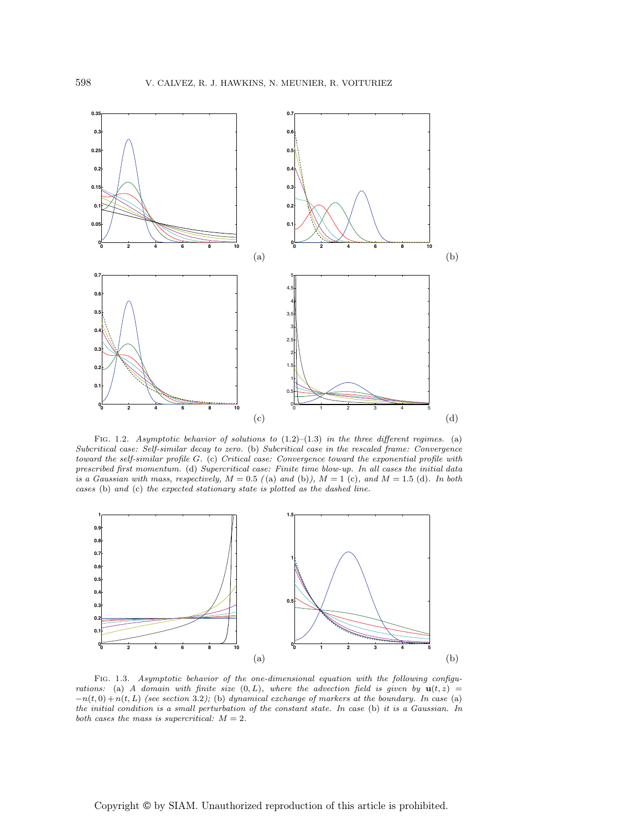

FIG. 1.2. Asymptotic behavior of solutions to  $(1.2)$ – $(1.3)$  in the three different regimes. (a) Subcritical case: Self-similar decay to zero. (b) Subcritical case in the rescaled frame: Convergence toward the self-similar profile *G*. (c) Critical case: Convergence toward the exponential profile with prescribed first momentum. (d) Supercritical case: Finite time blow-up. In all cases the initial data is a Gaussian with mass, respectively,  $M = 0.5$  ((a) and (b)),  $M = 1$  (c), and  $M = 1.5$  (d). In both cases (b) and (c) the expected stationary state is plotted as the dashed line.



Fig. 1.3. Asymptotic behavior of the one-dimensional equation with the following configurations: (a) A domain with finite size  $(0, L)$ , where the advection field is given by  $\mathbf{u}(t, z)$  $-n(t,0) + n(t,L)$  (see section 3.2); (b) dynamical exchange of markers at the boundary. In case (a) the initial condition is a small perturbation of the constant state. In case (b) it is a Gaussian. In both cases the mass is supercritical:  $M = 2$ .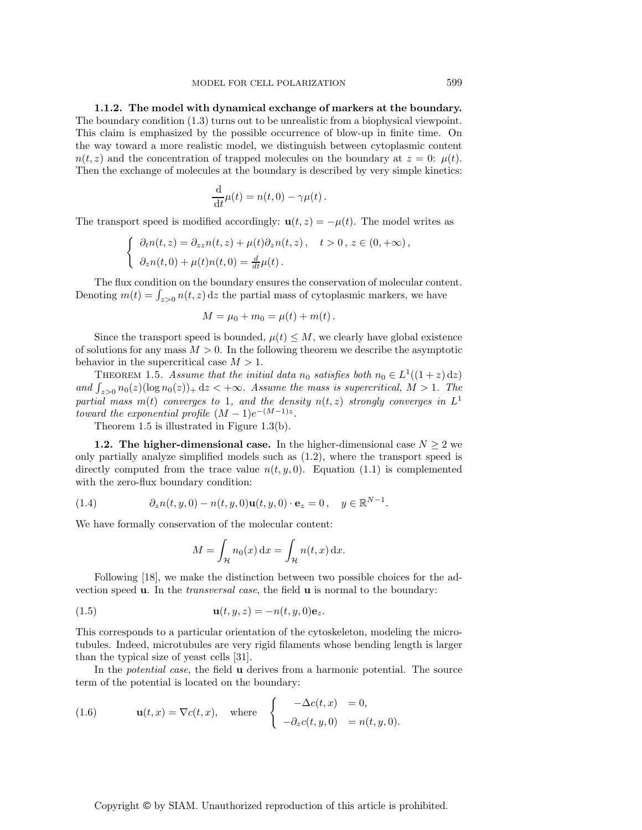**1.1.2. The model with dynamical exchange of markers at the boundary.** The boundary condition (1.3) turns out to be unrealistic from a biophysical viewpoint. This claim is emphasized by the possible occurrence of blow-up in finite time. On the way toward a more realistic model, we distinguish between cytoplasmic content  $n(t, z)$  and the concentration of trapped molecules on the boundary at  $z = 0$ :  $\mu(t)$ . Then the exchange of molecules at the boundary is described by very simple kinetics:

$$
\frac{\mathrm{d}}{\mathrm{d}t}\mu(t) = n(t,0) - \gamma\mu(t).
$$

The transport speed is modified accordingly:  $\mathbf{u}(t, z) = -\mu(t)$ . The model writes as

$$
\begin{cases} \n\partial_t n(t, z) = \partial_{zz} n(t, z) + \mu(t) \partial_z n(t, z), \quad t > 0, \, z \in (0, +\infty), \\
\partial_z n(t, 0) + \mu(t) n(t, 0) = \frac{d}{dt} \mu(t). \n\end{cases}
$$

The flux condition on the boundary ensures the conservation of molecular content. Denoting  $m(t) = \int_{z>0} n(t, z) dz$  the partial mass of cytoplasmic markers, we have

$$
M = \mu_0 + m_0 = \mu(t) + m(t).
$$

Since the transport speed is bounded,  $\mu(t) \leq M$ , we clearly have global existence of solutions for any mass  $M > 0$ . In the following theorem we describe the asymptotic behavior in the supercritical case  $M > 1$ .

THEOREM 1.5. *Assume that the initial data*  $n_0$  *satisfies both*  $n_0 \in L^1((1+z) dz)$ and  $\int_{z>0} n_0(z)(\log n_0(z))_+ dz < +\infty$ . Assume the mass is supercritical,  $M > 1$ . The  $partial mass m(t)$  *converges to* 1*, and the density*  $n(t, z)$  *strongly converges in*  $L<sup>1</sup>$ *toward the exponential profile*  $(M-1)e^{-(M-1)z}$ .

Theorem 1.5 is illustrated in Figure 1.3(b).

**1.2. The higher-dimensional case.** In the higher-dimensional case  $N \geq 2$  we only partially analyze simplified models such as (1.2), where the transport speed is directly computed from the trace value  $n(t, y, 0)$ . Equation (1.1) is complemented with the zero-flux boundary condition:

(1.4) 
$$
\partial_z n(t, y, 0) - n(t, y, 0) \mathbf{u}(t, y, 0) \cdot \mathbf{e}_z = 0, \quad y \in \mathbb{R}^{N-1}.
$$

We have formally conservation of the molecular content:

$$
M = \int_{\mathcal{H}} n_0(x) dx = \int_{\mathcal{H}} n(t, x) dx.
$$

Following [18], we make the distinction between two possible choices for the advection speed **u**. In the *transversal case*, the field **u** is normal to the boundary:

$$
\mathbf{u}(t, y, z) = -n(t, y, 0)\mathbf{e}_z.
$$

This corresponds to a particular orientation of the cytoskeleton, modeling the microtubules. Indeed, microtubules are very rigid filaments whose bending length is larger than the typical size of yeast cells [31].

In the *potential case*, the field **u** derives from a harmonic potential. The source term of the potential is located on the boundary:

(1.6) 
$$
\mathbf{u}(t,x) = \nabla c(t,x), \text{ where } \begin{cases} -\Delta c(t,x) = 0, \\ -\partial_z c(t,y,0) = n(t,y,0). \end{cases}
$$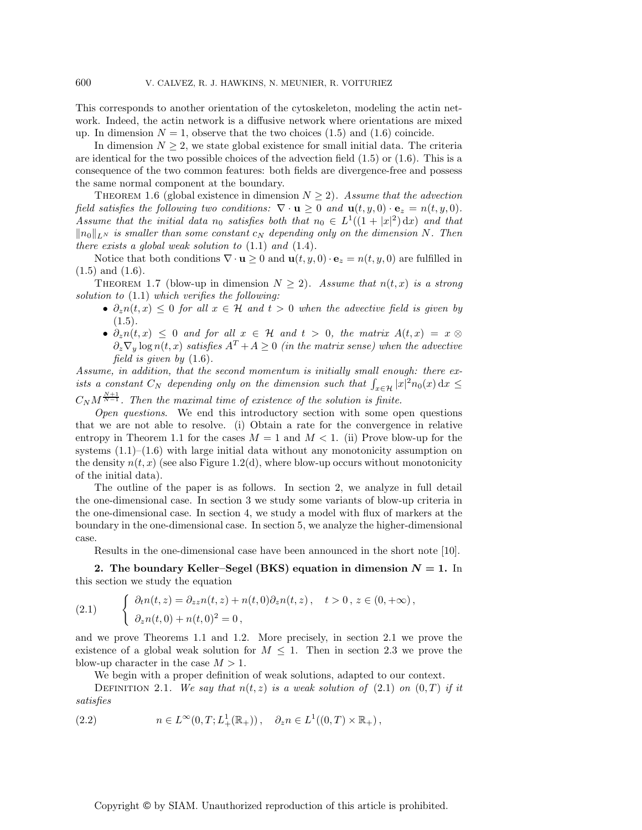This corresponds to another orientation of the cytoskeleton, modeling the actin network. Indeed, the actin network is a diffusive network where orientations are mixed up. In dimension  $N = 1$ , observe that the two choices  $(1.5)$  and  $(1.6)$  coincide.

In dimension  $N \geq 2$ , we state global existence for small initial data. The criteria are identical for the two possible choices of the advection field  $(1.5)$  or  $(1.6)$ . This is a consequence of the two common features: both fields are divergence-free and possess the same normal component at the boundary.

THEOREM 1.6 (global existence in dimension  $N \geq 2$ ). Assume that the advection *field satisfies the following two conditions:*  $\nabla \cdot \mathbf{u} \geq 0$  *and*  $\mathbf{u}(t, y, 0) \cdot \mathbf{e}_z = n(t, y, 0)$ *. Assume that the initial data*  $n_0$  *satisfies both that*  $n_0 \in L^1((1+|x|^2) dx)$  *and that*  $||n_0||_{LN}$  is smaller than some constant  $c_N$  depending only on the dimension N. Then *there exists a global weak solution to* (1.1) *and* (1.4)*.*

Notice that both conditions  $\nabla \cdot \mathbf{u} \geq 0$  and  $\mathbf{u}(t, y, 0) \cdot \mathbf{e}_z = n(t, y, 0)$  are fulfilled in  $(1.5)$  and  $(1.6)$ .

THEOREM 1.7 (blow-up in dimension  $N \geq 2$ ). Assume that  $n(t, x)$  is a strong *solution to* (1.1) *which verifies the following:*

- $\partial_z n(t,x) \leq 0$  *for all*  $x \in \mathcal{H}$  *and*  $t > 0$  *when the advective field is given by* (1.5)*.*
- $\partial_z n(t,x) \leq 0$  and for all  $x \in \mathcal{H}$  and  $t > 0$ , the matrix  $A(t,x) = x \otimes$  $\partial_z \nabla_y \log n(t, x)$  *satisfies*  $A^T + A \geq 0$  *(in the matrix sense)* when the advective *field is given by* (1.6)*.*

*Assume, in addition, that the second momentum is initially small enough: there exists a constant*  $C_N$  *depending only on the dimension such that*  $\int_{x \in \mathcal{H}} |x|^2 n_0(x) dx \le$  $C_N M^{\frac{N+1}{N-1}}$ . Then the maximal time of existence of the solution is finite.

*Open questions*. We end this introductory section with some open questions that we are not able to resolve. (i) Obtain a rate for the convergence in relative entropy in Theorem 1.1 for the cases  $M = 1$  and  $M < 1$ . (ii) Prove blow-up for the systems  $(1.1)$ – $(1.6)$  with large initial data without any monotonicity assumption on the density  $n(t, x)$  (see also Figure 1.2(d), where blow-up occurs without monotonicity of the initial data).

The outline of the paper is as follows. In section 2, we analyze in full detail the one-dimensional case. In section 3 we study some variants of blow-up criteria in the one-dimensional case. In section 4, we study a model with flux of markers at the boundary in the one-dimensional case. In section 5, we analyze the higher-dimensional case.

Results in the one-dimensional case have been announced in the short note [10].

**2.** The boundary Keller–Segel (BKS) equation in dimension  $N = 1$ . In this section we study the equation

(2.1) 
$$
\begin{cases} \partial_t n(t,z) = \partial_{zz} n(t,z) + n(t,0) \partial_z n(t,z), & t > 0, z \in (0,+\infty), \\ \partial_z n(t,0) + n(t,0)^2 = 0, \end{cases}
$$

and we prove Theorems 1.1 and 1.2. More precisely, in section 2.1 we prove the existence of a global weak solution for  $M \leq 1$ . Then in section 2.3 we prove the blow-up character in the case  $M > 1$ .

We begin with a proper definition of weak solutions, adapted to our context.

DEFINITION 2.1. We say that  $n(t, z)$  is a weak solution of (2.1) on  $(0, T)$  if it *satisfies*

(2.2) 
$$
n \in L^{\infty}(0,T; L^1_+(\mathbb{R}_+)), \quad \partial_z n \in L^1((0,T) \times \mathbb{R}_+),
$$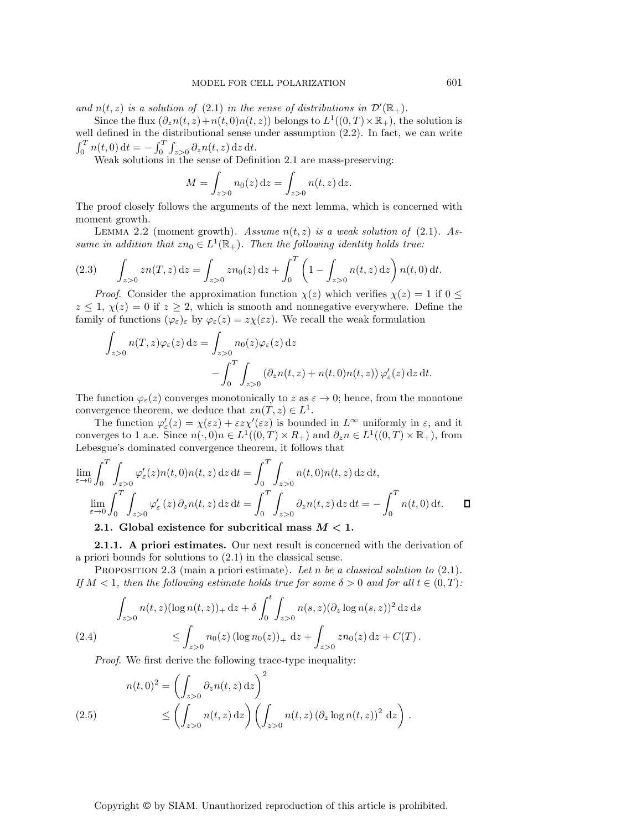and  $n(t, z)$  is a solution of (2.1) in the sense of distributions in  $\mathcal{D}'(\mathbb{R}_+)$ .

Since the flux  $(\partial_z n(t, z) + n(t, 0)n(t, z))$  belongs to  $L^1((0, T) \times \mathbb{R}_+)$ , the solution is well defined in the distributional sense under assumption (2.2). In fact, we can write  $\int_0^T n(t,0) dt = - \int_0^T \int_{z>0} \partial_z n(t,z) dz dt.$ 

Weak solutions in the sense of Definition 2.1 are mass-preserving:

$$
M = \int_{z>0} n_0(z) dz = \int_{z>0} n(t, z) dz.
$$

The proof closely follows the arguments of the next lemma, which is concerned with moment growth.

LEMMA 2.2 (moment growth). Assume  $n(t, z)$  is a weak solution of (2.1). As*sume in addition that*  $zn_0 \in L^1(\mathbb{R}_+)$ *. Then the following identity holds true:* 

(2.3) 
$$
\int_{z>0} zn(T,z) dz = \int_{z>0} zn_0(z) dz + \int_0^T \left(1 - \int_{z>0} n(t,z) dz\right) n(t,0) dt.
$$

*Proof.* Consider the approximation function  $\chi(z)$  which verifies  $\chi(z) = 1$  if  $0 \leq$  $z \leq 1$ ,  $\chi(z) = 0$  if  $z \geq 2$ , which is smooth and nonnegative everywhere. Define the family of functions  $(\varphi_{\varepsilon})_{\varepsilon}$  by  $\varphi_{\varepsilon}(z) = z\chi(\varepsilon z)$ . We recall the weak formulation

$$
\int_{z>0} n(T,z)\varphi_{\varepsilon}(z) dz = \int_{z>0} n_0(z)\varphi_{\varepsilon}(z) dz
$$

$$
- \int_0^T \int_{z>0} (\partial_z n(t,z) + n(t,0)n(t,z)) \varphi_{\varepsilon}'(z) dz dt.
$$

The function  $\varphi_{\varepsilon}(z)$  converges monotonically to  $z$  as  $\varepsilon \to 0$ ; hence, from the monotone convergence theorem, we deduce that  $zn(T, z) \in L^1$ .

The function  $\varphi_{\varepsilon}'(z) = \chi(\varepsilon z) + \varepsilon z \chi'(\varepsilon z)$  is bounded in  $L^{\infty}$  uniformly in  $\varepsilon$ , and it converges to 1 a.e. Since  $n(\cdot, 0)n \in L^1((0, T) \times R_+)$  and  $\partial_z n \in L^1((0, T) \times \mathbb{R}_+)$ , from Lebesgue's dominated convergence theorem, it follows that

$$
\lim_{\varepsilon \to 0} \int_0^T \int_{z>0} \varphi_{\varepsilon}'(z) n(t,0) n(t,z) dz dt = \int_0^T \int_{z>0} n(t,0) n(t,z) dz dt,
$$
  

$$
\lim_{\varepsilon \to 0} \int_0^T \int_{z>0} \varphi_{\varepsilon}'(z) \partial_z n(t,z) dz dt = \int_0^T \int_{z>0} \partial_z n(t,z) dz dt = -\int_0^T n(t,0) dt.
$$

### **2.1. Global existence for subcritical mass** *M <* **1.**

**2.1.1.** A priori estimates. Our next result is concerned with the derivation of a priori bounds for solutions to (2.1) in the classical sense.

PROPOSITION 2.3 (main a priori estimate). Let n be a classical solution to  $(2.1)$ . *If*  $M < 1$ *, then the following estimate holds true for some*  $\delta > 0$  *and for all*  $t \in (0, T)$ *:* 

$$
\int_{z>0} n(t,z)(\log n(t,z)) + dz + \delta \int_0^t \int_{z>0} n(s,z)(\partial_z \log n(s,z))^2 dz ds
$$
\n
$$
\leq \int_{z>0} n_0(z)(\log n_0(z))_+ dz + \int_{z>0} z n_0(z) dz + C(T).
$$

*Proof*. We first derive the following trace-type inequality:

(2.5) 
$$
n(t,0)^2 = \left(\int_{z>0} \partial_z n(t,z) dz\right)^2
$$

$$
\leq \left(\int_{z>0} n(t,z) dz\right) \left(\int_{z>0} n(t,z) \left(\partial_z \log n(t,z)\right)^2 dz\right).
$$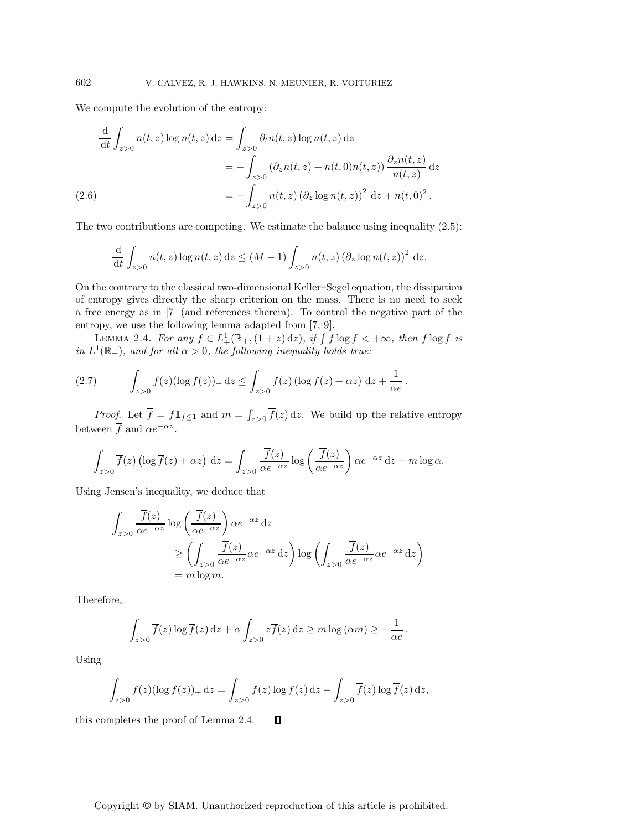We compute the evolution of the entropy:

$$
\frac{\mathrm{d}}{\mathrm{d}t} \int_{z>0} n(t,z) \log n(t,z) \,\mathrm{d}z = \int_{z>0} \partial_t n(t,z) \log n(t,z) \,\mathrm{d}z
$$
\n
$$
= -\int_{z>0} (\partial_z n(t,z) + n(t,0)n(t,z)) \frac{\partial_z n(t,z)}{n(t,z)} \,\mathrm{d}z
$$
\n
$$
= -\int_{z>0} n(t,z) \left(\partial_z \log n(t,z)\right)^2 \,\mathrm{d}z + n(t,0)^2.
$$
\n(2.6)

The two contributions are competing. We estimate the balance using inequality (2.5):

$$
\frac{\mathrm{d}}{\mathrm{d}t} \int_{z>0} n(t,z) \log n(t,z) \,\mathrm{d}z \le (M-1) \int_{z>0} n(t,z) \left(\partial_z \log n(t,z)\right)^2 \,\mathrm{d}z.
$$

On the contrary to the classical two-dimensional Keller–Segel equation, the dissipation of entropy gives directly the sharp criterion on the mass. There is no need to seek a free energy as in [7] (and references therein). To control the negative part of the entropy, we use the following lemma adapted from [7, 9].

LEMMA 2.4. *For any*  $f \in L^1_+(\mathbb{R}_+, (1+z) \, dz)$ , *if*  $\int f \log f < +\infty$ , *then*  $f \log f$  *is in*  $L^1(\mathbb{R}_+)$ *, and for all*  $\alpha > 0$ *, the following inequality holds true:* 

(2.7) 
$$
\int_{z>0} f(z)(\log f(z)) + dz \leq \int_{z>0} f(z)(\log f(z) + \alpha z) dz + \frac{1}{\alpha e}.
$$

*Proof.* Let  $\overline{f} = f \mathbf{1}_{f \leq 1}$  and  $m = \int_{z>0} \overline{f}(z) dz$ . We build up the relative entropy between  $\overline{f}$  and  $\alpha e^{-\alpha z}$ .

$$
\int_{z>0} \overline{f}(z) \left( \log \overline{f}(z) + \alpha z \right) dz = \int_{z>0} \frac{\overline{f}(z)}{\alpha e^{-\alpha z}} \log \left( \frac{\overline{f}(z)}{\alpha e^{-\alpha z}} \right) \alpha e^{-\alpha z} dz + m \log \alpha.
$$

Using Jensen's inequality, we deduce that

$$
\int_{z>0} \frac{\overline{f}(z)}{\alpha e^{-\alpha z}} \log \left( \frac{\overline{f}(z)}{\alpha e^{-\alpha z}} \right) \alpha e^{-\alpha z} dz
$$
\n
$$
\geq \left( \int_{z>0} \frac{\overline{f}(z)}{\alpha e^{-\alpha z}} \alpha e^{-\alpha z} dz \right) \log \left( \int_{z>0} \frac{\overline{f}(z)}{\alpha e^{-\alpha z}} \alpha e^{-\alpha z} dz \right)
$$
\n
$$
= m \log m.
$$

Therefore,

$$
\int_{z>0} \overline{f}(z) \log \overline{f}(z) dz + \alpha \int_{z>0} z \overline{f}(z) dz \ge m \log (\alpha m) \ge -\frac{1}{\alpha e}.
$$

Using

$$
\int_{z>0} f(z)(\log f(z))_+ dz = \int_{z>0} f(z)\log f(z) dz - \int_{z>0} \overline{f}(z)\log \overline{f}(z) dz,
$$

 $\Box$ 

this completes the proof of Lemma 2.4.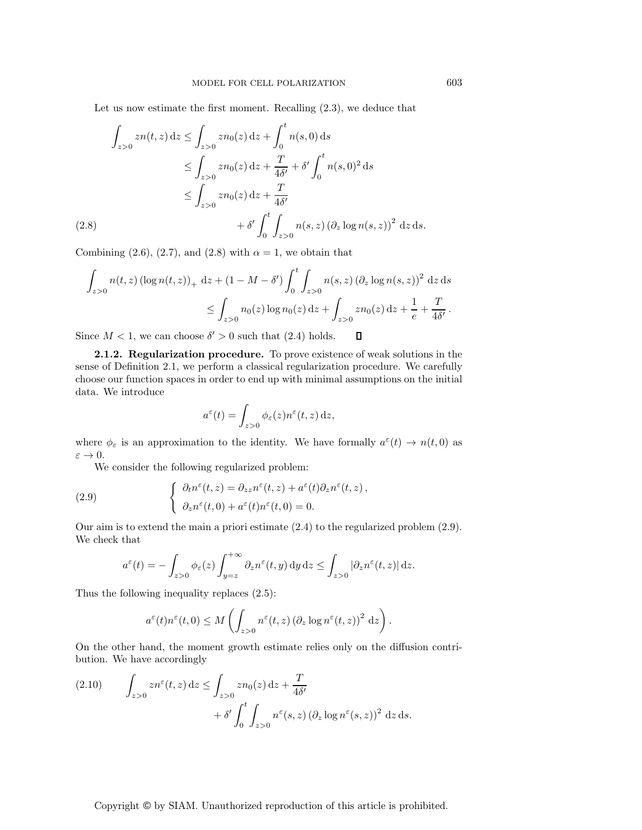Let us now estimate the first moment. Recalling (2.3), we deduce that

$$
\int_{z>0} zn(t, z) dz \le \int_{z>0} zn_0(z) dz + \int_0^t n(s, 0) ds
$$
  
\n
$$
\le \int_{z>0} zn_0(z) dz + \frac{T}{4\delta'} + \delta' \int_0^t n(s, 0)^2 ds
$$
  
\n
$$
\le \int_{z>0} zn_0(z) dz + \frac{T}{4\delta'}
$$
  
\n(2.8)  
\n
$$
+ \delta' \int_0^t \int_{z>0} n(s, z) (\partial_z \log n(s, z))^2 dz ds.
$$

Combining (2.6), (2.7), and (2.8) with  $\alpha = 1$ , we obtain that

$$
\int_{z>0} n(t,z) (\log n(t,z))_+ dz + (1 - M - \delta') \int_0^t \int_{z>0} n(s,z) (\partial_z \log n(s,z))^2 dz ds
$$
  

$$
\leq \int_{z>0} n_0(z) \log n_0(z) dz + \int_{z>0} z n_0(z) dz + \frac{1}{e} + \frac{T}{4\delta'}.
$$

 $\Box$ 

Since  $M < 1$ , we can choose  $\delta' > 0$  such that (2.4) holds.

**2.1.2. Regularization procedure.** To prove existence of weak solutions in the sense of Definition 2.1, we perform a classical regularization procedure. We carefully choose our function spaces in order to end up with minimal assumptions on the initial data. We introduce

$$
a^{\varepsilon}(t) = \int_{z>0} \phi_{\varepsilon}(z) n^{\varepsilon}(t, z) dz,
$$

where  $\phi_{\varepsilon}$  is an approximation to the identity. We have formally  $a^{\varepsilon}(t) \to n(t,0)$  as  $\varepsilon \to 0$ .

We consider the following regularized problem:

(2.9) 
$$
\begin{cases} \partial_t n^{\varepsilon}(t,z) = \partial_{zz} n^{\varepsilon}(t,z) + a^{\varepsilon}(t) \partial_z n^{\varepsilon}(t,z), \\ \partial_z n^{\varepsilon}(t,0) + a^{\varepsilon}(t) n^{\varepsilon}(t,0) = 0. \end{cases}
$$

Our aim is to extend the main a priori estimate (2.4) to the regularized problem (2.9). We check that

$$
a^{\varepsilon}(t) = -\int_{z>0} \phi_{\varepsilon}(z) \int_{y=z}^{+\infty} \partial_z n^{\varepsilon}(t,y) \, dy \, dz \le \int_{z>0} |\partial_z n^{\varepsilon}(t,z)| \, dz.
$$

Thus the following inequality replaces (2.5):

$$
a^{\varepsilon}(t)n^{\varepsilon}(t,0) \leq M\left(\int_{z>0} n^{\varepsilon}(t,z) \left(\partial_z \log n^{\varepsilon}(t,z)\right)^2 \mathrm{d}z\right).
$$

On the other hand, the moment growth estimate relies only on the diffusion contribution. We have accordingly

(2.10) 
$$
\int_{z>0} z n^{\varepsilon}(t, z) dz \le \int_{z>0} z n_0(z) dz + \frac{T}{4\delta'}
$$

$$
+ \delta' \int_0^t \int_{z>0} n^{\varepsilon}(s, z) (\partial_z \log n^{\varepsilon}(s, z))^2 dz ds.
$$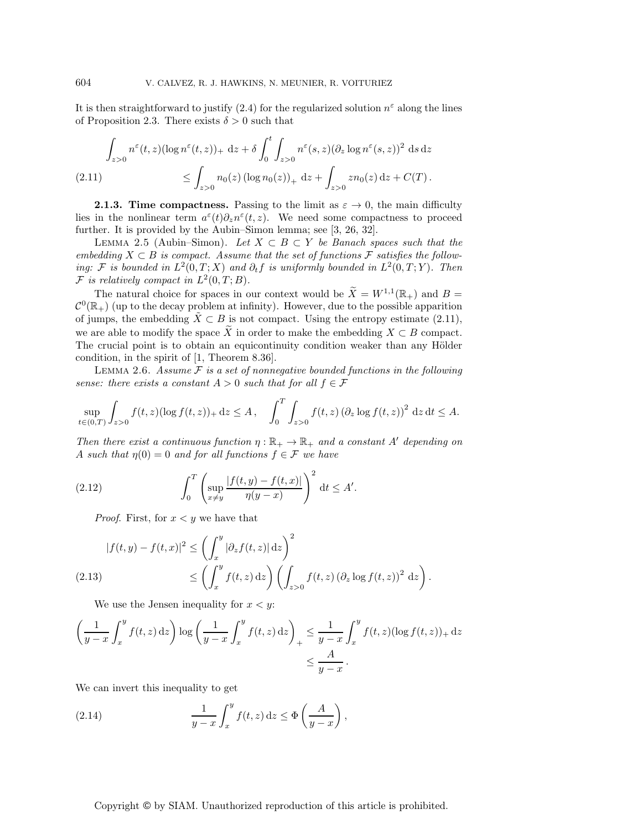It is then straightforward to justify (2.4) for the regularized solution  $n^{\varepsilon}$  along the lines of Proposition 2.3. There exists  $\delta > 0$  such that

$$
\int_{z>0} n^{\varepsilon}(t,z) (\log n^{\varepsilon}(t,z))_{+} dz + \delta \int_{0}^{t} \int_{z>0} n^{\varepsilon}(s,z) (\partial_{z} \log n^{\varepsilon}(s,z))^{2} ds dz
$$
\n(2.11)\n
$$
\leq \int_{z>0} n_{0}(z) (\log n_{0}(z))_{+} dz + \int_{z>0} z n_{0}(z) dz + C(T).
$$

**2.1.3. Time compactness.** Passing to the limit as  $\varepsilon \to 0$ , the main difficulty lies in the nonlinear term  $a^{\varepsilon}(t)\partial_z n^{\varepsilon}(t,z)$ . We need some compactness to proceed further. It is provided by the Aubin–Simon lemma; see [3, 26, 32].

LEMMA 2.5 (Aubin–Simon). Let  $X \subset B \subset Y$  be Banach spaces such that the *embedding*  $X ⊂ B$  *is compact. Assume that the set of functions*  $F$  *satisfies the following:* F *is bounded in*  $L^2(0,T;X)$  *and*  $\partial_t f$  *is uniformly bounded in*  $L^2(0,T;Y)$ *. Then*  $\mathcal F$  *is relatively compact in*  $L^2(0,T;B)$ *.* 

The natural choice for spaces in our context would be  $\widetilde{X} = W^{1,1}(\mathbb{R}_+)$  and  $B =$  $\mathcal{C}^0(\mathbb{R}_+)$  (up to the decay problem at infinity). However, due to the possible apparition of jumps, the embedding  $\tilde{X} \subset B$  is not compact. Using the entropy estimate (2.11), we are able to modify the space X in order to make the embedding  $X \subset B$  compact. The crucial point is to obtain an equicontinuity condition weaker than any Hölder condition, in the spirit of [1, Theorem 8.36].

Lemma 2.6. *Assume* F *is a set of nonnegative bounded functions in the following sense: there exists a constant*  $A > 0$  *such that for all*  $f \in \mathcal{F}$ 

$$
\sup_{t \in (0,T)} \int_{z>0} f(t,z) (\log f(t,z))_+ dz \le A, \quad \int_0^T \int_{z>0} f(t,z) (\partial_z \log f(t,z))^2 dz dt \le A.
$$

*Then there exist a continuous function*  $\eta : \mathbb{R}_+ \to \mathbb{R}_+$  *and a constant* A' *depending on* A such that  $\eta(0) = 0$  and for all functions  $f \in \mathcal{F}$  we have

(2.12) 
$$
\int_0^T \left( \sup_{x \neq y} \frac{|f(t, y) - f(t, x)|}{\eta(y - x)} \right)^2 dt \leq A'.
$$

*Proof.* First, for  $x < y$  we have that

$$
|f(t,y) - f(t,x)|^2 \le \left(\int_x^y |\partial_z f(t,z)| \,dz\right)^2
$$
  
(2.13) 
$$
\le \left(\int_x^y f(t,z) \,dz\right) \left(\int_{z>0} f(t,z) \left(\partial_z \log f(t,z)\right)^2 \,dz\right).
$$

We use the Jensen inequality for  $x < y$ :

$$
\left(\frac{1}{y-x}\int_x^y f(t,z)\,\mathrm{d}z\right)\log\left(\frac{1}{y-x}\int_x^y f(t,z)\,\mathrm{d}z\right)_+\leq \frac{1}{y-x}\int_x^y f(t,z)(\log f(t,z))_+\,\mathrm{d}z
$$

$$
\leq \frac{A}{y-x}.
$$

We can invert this inequality to get

(2.14) 
$$
\frac{1}{y-x} \int_x^y f(t,z) dz \le \Phi\left(\frac{A}{y-x}\right),
$$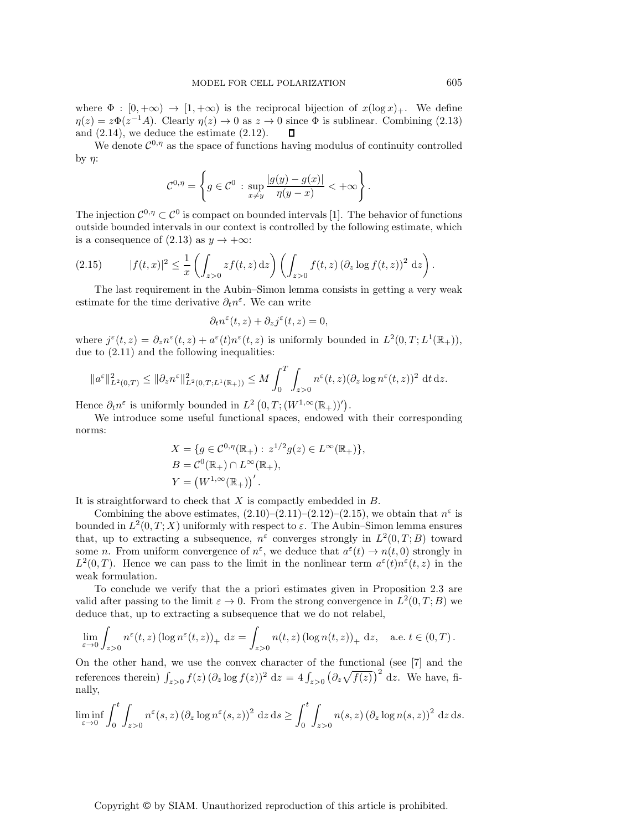where  $\Phi : [0, +\infty) \to [1, +\infty)$  is the reciprocal bijection of  $x(\log x)_+$ . We define  $\eta(z) = z\Phi(z^{-1}A)$ . Clearly  $\eta(z) \to 0$  as  $z \to 0$  since  $\Phi$  is sublinear. Combining (2.13) and (2.14), we deduce the estimate (2.12).  $\Box$ and (2.14), we deduce the estimate (2.12).

We denote  $\mathcal{C}^{0,\eta}$  as the space of functions having modulus of continuity controlled by  $\eta$ :

$$
\mathcal{C}^{0,\eta} = \left\{ g \in \mathcal{C}^0 : \sup_{x \neq y} \frac{|g(y) - g(x)|}{\eta(y - x)} < +\infty \right\}.
$$

The injection  $\mathcal{C}^{0,\eta} \subset \mathcal{C}^0$  is compact on bounded intervals [1]. The behavior of functions outside bounded intervals in our context is controlled by the following estimate, which is a consequence of (2.13) as  $y \to +\infty$ :

$$
(2.15) \t |f(t,x)|^2 \leq \frac{1}{x} \left( \int_{z>0} z f(t,z) dz \right) \left( \int_{z>0} f(t,z) \left( \partial_z \log f(t,z) \right)^2 dz \right).
$$

The last requirement in the Aubin–Simon lemma consists in getting a very weak estimate for the time derivative  $\partial_t n^{\varepsilon}$ . We can write

$$
\partial_t n^{\varepsilon}(t, z) + \partial_z j^{\varepsilon}(t, z) = 0,
$$

where  $j^{\epsilon}(t, z) = \partial_z n^{\epsilon}(t, z) + a^{\epsilon}(t) n^{\epsilon}(t, z)$  is uniformly bounded in  $L^2(0, T; L^1(\mathbb{R}_+)),$ due to (2.11) and the following inequalities:

$$
\|a^{\varepsilon}\|_{L^2(0,T)}^2 \le \|\partial_z n^{\varepsilon}\|_{L^2(0,T;L^1(\mathbb{R}_+))}^2 \le M \int_0^T \int_{z>0} n^{\varepsilon}(t,z) (\partial_z \log n^{\varepsilon}(t,z))^2 \, \mathrm{d}t \, \mathrm{d}z.
$$

Hence  $\partial_t n^{\varepsilon}$  is uniformly bounded in  $L^2(0,T;(W^{1,\infty}(\mathbb{R}_+))')$ .

We introduce some useful functional spaces, endowed with their corresponding norms:

$$
X = \{ g \in C^{0,\eta}(\mathbb{R}_+): z^{1/2} g(z) \in L^{\infty}(\mathbb{R}_+) \},
$$
  
\n
$$
B = C^{0}(\mathbb{R}_+) \cap L^{\infty}(\mathbb{R}_+),
$$
  
\n
$$
Y = (W^{1,\infty}(\mathbb{R}_+))'.
$$

It is straightforward to check that  $X$  is compactly embedded in  $B$ .

Combining the above estimates,  $(2.10)$ – $(2.11)$ – $(2.12)$ – $(2.15)$ , we obtain that  $n^{\varepsilon}$  is bounded in  $L^2(0,T;X)$  uniformly with respect to  $\varepsilon$ . The Aubin–Simon lemma ensures that, up to extracting a subsequence,  $n^{\varepsilon}$  converges strongly in  $L^2(0,T;B)$  toward some n. From uniform convergence of  $n^{\varepsilon}$ , we deduce that  $a^{\varepsilon}(t) \to n(t, 0)$  strongly in  $L^2(0,T)$ . Hence we can pass to the limit in the nonlinear term  $a^{\varepsilon}(t)n^{\varepsilon}(t,z)$  in the weak formulation.

To conclude we verify that the a priori estimates given in Proposition 2.3 are valid after passing to the limit  $\varepsilon \to 0$ . From the strong convergence in  $L^2(0,T;B)$  we deduce that, up to extracting a subsequence that we do not relabel,

$$
\lim_{\varepsilon \to 0} \int_{z>0} n^{\varepsilon}(t,z) \left( \log n^{\varepsilon}(t,z) \right)_{+} \, \mathrm{d}z = \int_{z>0} n(t,z) \left( \log n(t,z) \right)_{+} \, \mathrm{d}z, \quad \text{a.e. } t \in (0,T) \, .
$$

On the other hand, we use the convex character of the functional (see [7] and the references therein)  $\int_{z>0} f(z) (\partial_z \log f(z))^2 dz = 4 \int_{z>0} (\partial_z \sqrt{f(z)})^2 dz$ . We have, finally,

$$
\liminf_{\varepsilon \to 0} \int_0^t \int_{z>0} n^{\varepsilon}(s, z) \left(\partial_z \log n^{\varepsilon}(s, z)\right)^2 dz ds \ge \int_0^t \int_{z>0} n(s, z) \left(\partial_z \log n(s, z)\right)^2 dz ds.
$$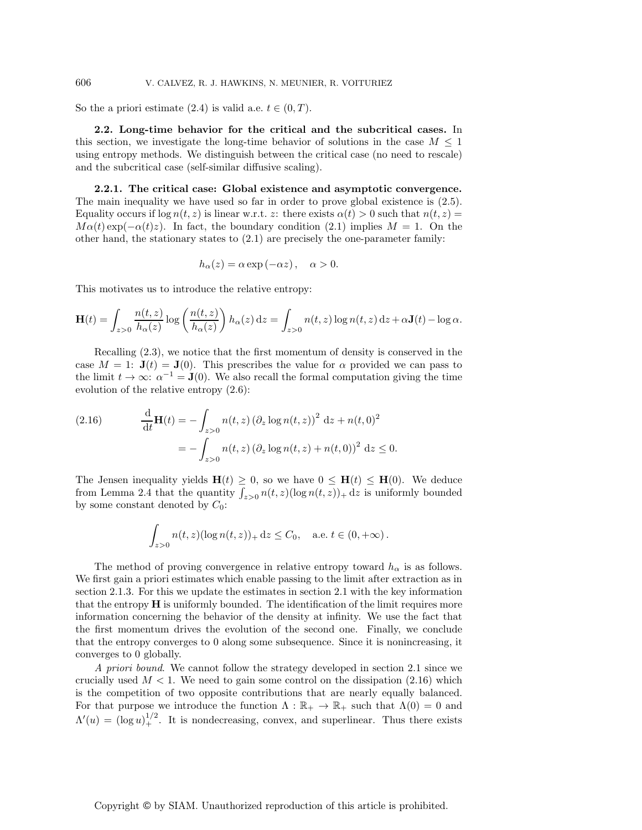So the a priori estimate (2.4) is valid a.e.  $t \in (0, T)$ .

**2.2. Long-time behavior for the critical and the subcritical cases.** In this section, we investigate the long-time behavior of solutions in the case  $M \leq 1$ using entropy methods. We distinguish between the critical case (no need to rescale) and the subcritical case (self-similar diffusive scaling).

**2.2.1. The critical case: Global existence and asymptotic convergence.** The main inequality we have used so far in order to prove global existence is (2.5). Equality occurs if  $\log n(t, z)$  is linear w.r.t. z: there exists  $\alpha(t) > 0$  such that  $n(t, z) =$  $M\alpha(t) \exp(-\alpha(t)z)$ . In fact, the boundary condition (2.1) implies  $M = 1$ . On the other hand, the stationary states to  $(2.1)$  are precisely the one-parameter family:

$$
h_{\alpha}(z) = \alpha \exp(-\alpha z), \quad \alpha > 0.
$$

This motivates us to introduce the relative entropy:

$$
\mathbf{H}(t) = \int_{z>0} \frac{n(t,z)}{h_{\alpha}(z)} \log\left(\frac{n(t,z)}{h_{\alpha}(z)}\right) h_{\alpha}(z) dz = \int_{z>0} n(t,z) \log n(t,z) dz + \alpha \mathbf{J}(t) - \log \alpha.
$$

Recalling (2.3), we notice that the first momentum of density is conserved in the case  $M = 1$ :  $J(t) = J(0)$ . This prescribes the value for  $\alpha$  provided we can pass to the limit  $t \to \infty$ :  $\alpha^{-1} = \mathbf{J}(0)$ . We also recall the formal computation giving the time evolution of the relative entropy (2.6):

(2.16) 
$$
\frac{d}{dt} \mathbf{H}(t) = -\int_{z>0} n(t, z) (\partial_z \log n(t, z))^2 dz + n(t, 0)^2
$$

$$
= -\int_{z>0} n(t, z) (\partial_z \log n(t, z) + n(t, 0))^2 dz \le 0.
$$

The Jensen inequality yields  $H(t) \geq 0$ , so we have  $0 \leq H(t) \leq H(0)$ . We deduce from Lemma 2.4 that the quantity  $\int_{z>0} n(t, z)(\log n(t, z))_+ dz$  is uniformly bounded by some constant denoted by  $C_0$ :

$$
\int_{z>0} n(t,z)(\log n(t,z))_{+} dz \leq C_0, \quad \text{a.e. } t \in (0,+\infty).
$$

The method of proving convergence in relative entropy toward  $h_{\alpha}$  is as follows. We first gain a priori estimates which enable passing to the limit after extraction as in section 2.1.3. For this we update the estimates in section 2.1 with the key information that the entropy **H** is uniformly bounded. The identification of the limit requires more information concerning the behavior of the density at infinity. We use the fact that the first momentum drives the evolution of the second one. Finally, we conclude that the entropy converges to 0 along some subsequence. Since it is nonincreasing, it converges to 0 globally.

*A priori bound*. We cannot follow the strategy developed in section 2.1 since we crucially used  $M < 1$ . We need to gain some control on the dissipation  $(2.16)$  which is the competition of two opposite contributions that are nearly equally balanced. For that purpose we introduce the function  $\Lambda : \mathbb{R}_+ \to \mathbb{R}_+$  such that  $\Lambda(0) = 0$  and  $\Lambda'(u) = (\log u)_+^{1/2}$ . It is nondecreasing, convex, and superlinear. Thus there exists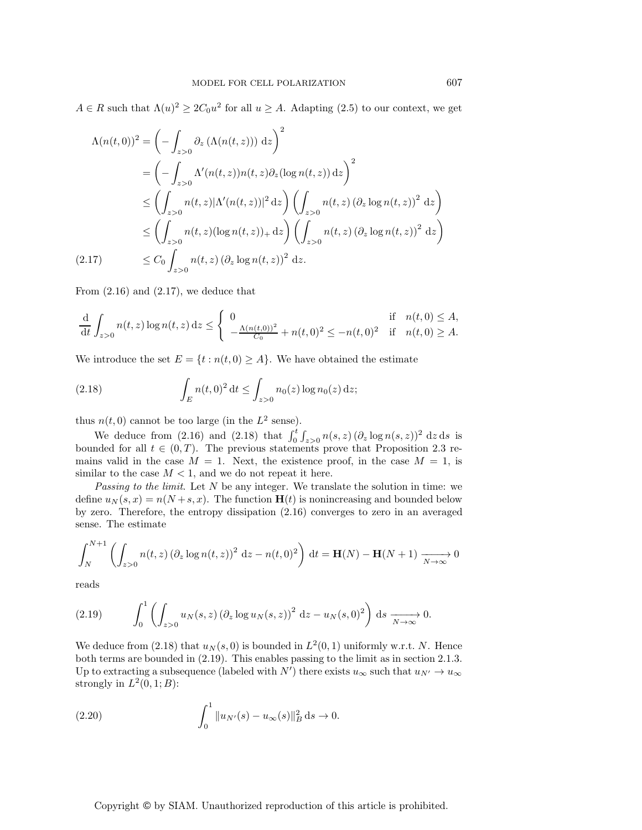$A \in R$  such that  $\Lambda(u)^2 \geq 2C_0u^2$  for all  $u \geq A$ . Adapting (2.5) to our context, we get

$$
\Lambda(n(t,0))^2 = \left(-\int_{z>0} \partial_z \left(\Lambda(n(t,z))\right) dz\right)^2
$$
  
\n
$$
= \left(-\int_{z>0} \Lambda'(n(t,z))n(t,z)\partial_z(\log n(t,z)) dz\right)^2
$$
  
\n
$$
\leq \left(\int_{z>0} n(t,z)|\Lambda'(n(t,z))|^2 dz\right) \left(\int_{z>0} n(t,z) \left(\partial_z \log n(t,z)\right)^2 dz\right)
$$
  
\n
$$
\leq \left(\int_{z>0} n(t,z)(\log n(t,z)) + dz\right) \left(\int_{z>0} n(t,z) \left(\partial_z \log n(t,z)\right)^2 dz\right)
$$
  
\n(2.17) 
$$
\leq C_0 \int_{z>0} n(t,z) \left(\partial_z \log n(t,z)\right)^2 dz.
$$

From  $(2.16)$  and  $(2.17)$ , we deduce that

$$
\frac{d}{dt} \int_{z>0} n(t,z) \log n(t,z) dz \leq \begin{cases} 0 & \text{if } n(t,0) \leq A, \\ -\frac{\Lambda(n(t,0))^2}{C_0} + n(t,0)^2 \leq -n(t,0)^2 & \text{if } n(t,0) \geq A. \end{cases}
$$

We introduce the set  $E = \{t : n(t, 0) \ge A\}$ . We have obtained the estimate

(2.18) 
$$
\int_{E} n(t,0)^2 dt \leq \int_{z>0} n_0(z) \log n_0(z) dz;
$$

thus  $n(t, 0)$  cannot be too large (in the  $L^2$  sense).

We deduce from (2.16) and (2.18) that  $\int_0^t \int_{z>0} n(s,z) (\partial_z \log n(s,z))^2 dz ds$  is bounded for all  $t \in (0, T)$ . The previous statements prove that Proposition 2.3 remains valid in the case  $M = 1$ . Next, the existence proof, in the case  $M = 1$ , is similar to the case  $M < 1$ , and we do not repeat it here.

*Passing to the limit*. Let N be any integer. We translate the solution in time: we define  $u_N(s, x) = n(N + s, x)$ . The function  $\mathbf{H}(t)$  is nonincreasing and bounded below by zero. Therefore, the entropy dissipation (2.16) converges to zero in an averaged sense. The estimate

$$
\int_{N}^{N+1} \left( \int_{z>0} n(t,z) \left( \partial_z \log n(t,z) \right)^2 dz - n(t,0)^2 \right) dt = \mathbf{H}(N) - \mathbf{H}(N+1) \xrightarrow[N \to \infty]{} 0
$$

reads

(2.19) 
$$
\int_0^1 \left( \int_{z>0} u_N(s,z) \left( \partial_z \log u_N(s,z) \right)^2 dz - u_N(s,0)^2 \right) ds \xrightarrow[N \to \infty]{} 0.
$$

We deduce from (2.18) that  $u_N(s, 0)$  is bounded in  $L^2(0, 1)$  uniformly w.r.t. N. Hence both terms are bounded in (2.19). This enables passing to the limit as in section 2.1.3. Up to extracting a subsequence (labeled with  $N'$ ) there exists  $u_{\infty}$  such that  $u_{N'} \to u_{\infty}$ strongly in  $L^2(0, 1; B)$ :

(2.20) 
$$
\int_0^1 \|u_{N'}(s) - u_\infty(s)\|_B^2 \, ds \to 0.
$$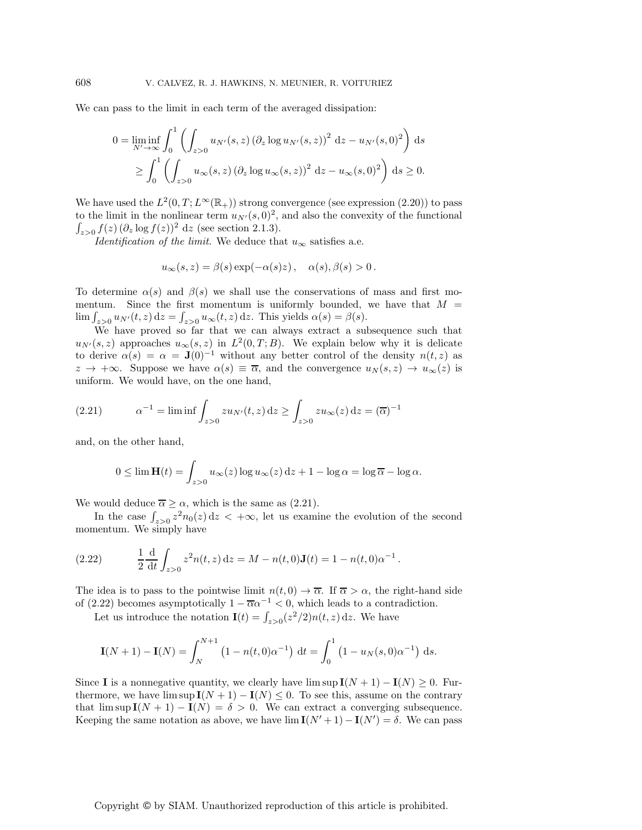We can pass to the limit in each term of the averaged dissipation:

$$
0 = \liminf_{N' \to \infty} \int_0^1 \left( \int_{z>0} u_{N'}(s, z) \left( \partial_z \log u_{N'}(s, z) \right)^2 dz - u_{N'}(s, 0)^2 \right) ds
$$
  
 
$$
\geq \int_0^1 \left( \int_{z>0} u_{\infty}(s, z) \left( \partial_z \log u_{\infty}(s, z) \right)^2 dz - u_{\infty}(s, 0)^2 \right) ds \geq 0.
$$

We have used the  $L^2(0,T;L^\infty(\mathbb{R}_+))$  strong convergence (see expression (2.20)) to pass to the limit in the nonlinear term  $u_{N'}(s, 0)^2$ , and also the convexity of the functional  $\int_{z>0} f(z) (\partial_z \log f(z))^2 dz$  (see section 2.1.3).

*Identification of the limit.* We deduce that  $u_{\infty}$  satisfies a.e.

$$
u_{\infty}(s, z) = \beta(s) \exp(-\alpha(s)z), \quad \alpha(s), \beta(s) > 0.
$$

To determine  $\alpha(s)$  and  $\beta(s)$  we shall use the conservations of mass and first momentum. Since the first momentum is uniformly bounded, we have that  $M =$  $\lim_{z \to 0} u_{N'}(t, z) dz = \int_{z > 0} u_{\infty}(t, z) dz$ . This yields  $\alpha(s) = \beta(s)$ .

We have proved so far that we can always extract a subsequence such that  $u_{N'}(s, z)$  approaches  $u_{\infty}(s, z)$  in  $L^2(0,T; B)$ . We explain below why it is delicate to derive  $\alpha(s) = \alpha = \mathbf{J}(0)^{-1}$  without any better control of the density  $n(t, z)$  as  $z \to +\infty$ . Suppose we have  $\alpha(s) \equiv \overline{\alpha}$ , and the convergence  $u_N(s, z) \to u_\infty(z)$  is uniform. We would have, on the one hand,

(2.21) 
$$
\alpha^{-1} = \liminf \int_{z>0} z u_{N'}(t, z) dz \ge \int_{z>0} z u_{\infty}(z) dz = (\overline{\alpha})^{-1}
$$

and, on the other hand,

$$
0 \le \lim \mathbf{H}(t) = \int_{z>0} u_{\infty}(z) \log u_{\infty}(z) dz + 1 - \log \alpha = \log \overline{\alpha} - \log \alpha.
$$

We would deduce  $\overline{\alpha} \geq \alpha$ , which is the same as (2.21).

In the case  $\int_{z>0} z^2 n_0(z) dz < +\infty$ , let us examine the evolution of the second momentum. We simply have

(2.22) 
$$
\frac{1}{2} \frac{d}{dt} \int_{z>0} z^2 n(t,z) dz = M - n(t,0) \mathbf{J}(t) = 1 - n(t,0) \alpha^{-1}.
$$

The idea is to pass to the pointwise limit  $n(t, 0) \to \overline{\alpha}$ . If  $\overline{\alpha} > \alpha$ , the right-hand side of (2.22) becomes asymptotically  $1 - \overline{\alpha} \alpha^{-1} < 0$ , which leads to a contradiction.

Let us introduce the notation  $\mathbf{I}(t) = \int_{z>0}^{t} (z^2/2) n(t, z) dz$ . We have

$$
\mathbf{I}(N+1) - \mathbf{I}(N) = \int_{N}^{N+1} (1 - n(t, 0)\alpha^{-1}) dt = \int_{0}^{1} (1 - u_N(s, 0)\alpha^{-1}) ds.
$$

Since **I** is a nonnegative quantity, we clearly have  $\limsup I(N + 1) - I(N) \geq 0$ . Furthermore, we have  $\limsup I(N + 1) - I(N) \leq 0$ . To see this, assume on the contrary that  $\limsup I(N + 1) - I(N) = \delta > 0$ . We can extract a converging subsequence. Keeping the same notation as above, we have  $\lim I(N' + 1) - I(N') = \delta$ . We can pass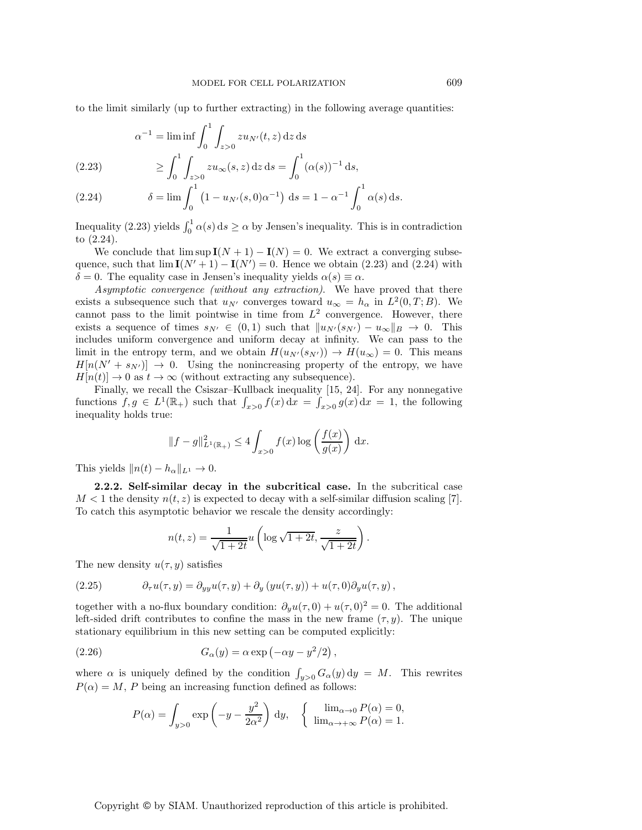to the limit similarly (up to further extracting) in the following average quantities:

(2.23)  
\n
$$
\alpha^{-1} = \liminf \int_0^1 \int_{z>0} z u_{N'}(t, z) dz ds
$$
\n
$$
\geq \int_0^1 \int_{z>0} z u_{\infty}(s, z) dz ds = \int_0^1 (\alpha(s))^{-1} ds,
$$
\n(2.24)  
\n
$$
\delta = \lim \int_0^1 (1 - u_{N'}(s, 0)\alpha^{-1}) ds = 1 - \alpha^{-1} \int_0^1 \alpha(s) ds
$$

(2.24) 
$$
\delta = \lim_{s \to 0} \int_0^1 (1 - u_{N}(s, 0)\alpha^{-1}) ds = 1 - \alpha^{-1} \int_0^1 \alpha(s) ds.
$$

Inequality (2.23) yields  $\int_0^1 \alpha(s) ds \ge \alpha$  by Jensen's inequality. This is in contradiction to (2.24).

We conclude that  $\limsup I(N + 1) - I(N) = 0$ . We extract a converging subsequence, such that  $\lim I(N' + 1) - I(N') = 0$ . Hence we obtain (2.23) and (2.24) with  $\delta = 0$ . The equality case in Jensen's inequality yields  $\alpha(s) \equiv \alpha$ .

*Asymptotic convergence (without any extraction)*. We have proved that there exists a subsequence such that  $u_{N'}$  converges toward  $u_{\infty} = h_{\alpha}$  in  $L^2(0,T;B)$ . We cannot pass to the limit pointwise in time from  $L^2$  convergence. However, there exists a sequence of times  $s_{N'} \in (0,1)$  such that  $||u_{N'}(s_{N'}) - u_{\infty}||_B \to 0$ . This includes uniform convergence and uniform decay at infinity. We can pass to the limit in the entropy term, and we obtain  $H(u_{N'}(s_{N'})) \to H(u_{\infty}) = 0$ . This means  $H[n(N' + s_{N'})] \rightarrow 0$ . Using the nonincreasing property of the entropy, we have  $H[n(t)] \to 0$  as  $t \to \infty$  (without extracting any subsequence).

Finally, we recall the Csiszar–Kullback inequality [15, 24]. For any nonnegative functions  $f, g \in L^1(\mathbb{R}_+)$  such that  $\int_{x>0} f(x) dx = \int_{x>0} g(x) dx = 1$ , the following inequality holds true:

$$
||f - g||_{L^{1}(\mathbb{R}_{+})}^{2} \le 4 \int_{x>0} f(x) \log \left( \frac{f(x)}{g(x)} \right) dx.
$$

This yields  $||n(t) - h_{\alpha}||_{L^1} \rightarrow 0$ .

**2.2.2. Self-similar decay in the subcritical case.** In the subcritical case  $M < 1$  the density  $n(t, z)$  is expected to decay with a self-similar diffusion scaling [7]. To catch this asymptotic behavior we rescale the density accordingly:

$$
n(t,z) = \frac{1}{\sqrt{1+2t}} u\left(\log\sqrt{1+2t}, \frac{z}{\sqrt{1+2t}}\right).
$$

The new density  $u(\tau, y)$  satisfies

(2.25) 
$$
\partial_{\tau}u(\tau,y)=\partial_{yy}u(\tau,y)+\partial_{y}(yu(\tau,y))+u(\tau,0)\partial_{y}u(\tau,y),
$$

together with a no-flux boundary condition:  $\partial_u u(\tau,0) + u(\tau,0)^2 = 0$ . The additional left-sided drift contributes to confine the mass in the new frame  $(\tau, y)$ . The unique stationary equilibrium in this new setting can be computed explicitly:

(2.26) 
$$
G_{\alpha}(y) = \alpha \exp(-\alpha y - y^2/2),
$$

where  $\alpha$  is uniquely defined by the condition  $\int_{y>0} G_{\alpha}(y) dy = M$ . This rewrites  $P(\alpha) = M$ , P being an increasing function defined as follows:

$$
P(\alpha) = \int_{y>0} \exp\left(-y - \frac{y^2}{2\alpha^2}\right) dy, \quad \left\{\begin{array}{c} \lim_{\alpha \to 0} P(\alpha) = 0, \\ \lim_{\alpha \to +\infty} P(\alpha) = 1. \end{array}\right.
$$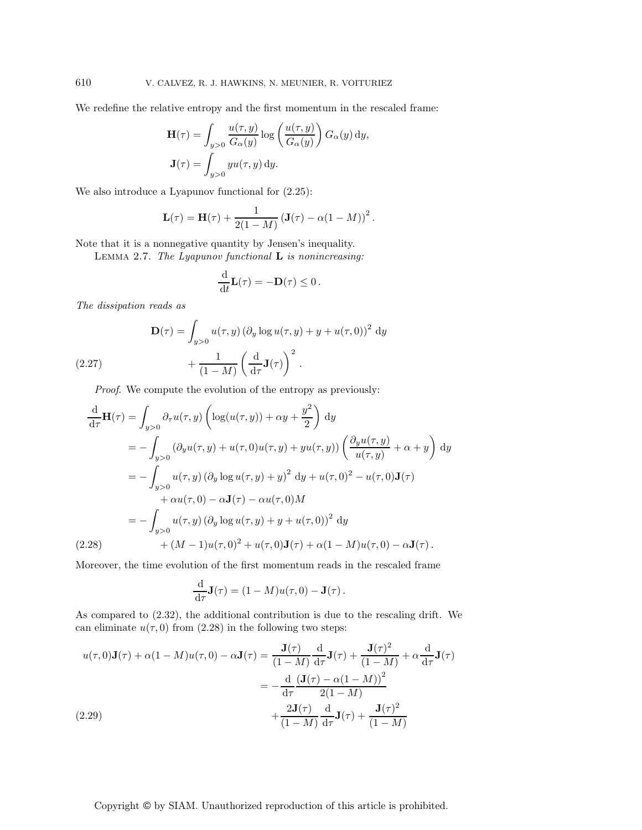We redefine the relative entropy and the first momentum in the rescaled frame:

$$
\mathbf{H}(\tau) = \int_{y>0} \frac{u(\tau, y)}{G_{\alpha}(y)} \log \left( \frac{u(\tau, y)}{G_{\alpha}(y)} \right) G_{\alpha}(y) dy,
$$

$$
\mathbf{J}(\tau) = \int_{y>0} y u(\tau, y) dy.
$$

We also introduce a Lyapunov functional for  $(2.25)$ :

$$
\mathbf{L}(\tau) = \mathbf{H}(\tau) + \frac{1}{2(1-M)} \left( \mathbf{J}(\tau) - \alpha (1-M) \right)^2.
$$

Note that it is a nonnegative quantity by Jensen's inequality.

Lemma 2.7. *The Lyapunov functional* **L** *is nonincreasing:*

$$
\frac{\mathrm{d}}{\mathrm{d}t}\mathbf{L}(\tau) = -\mathbf{D}(\tau) \leq 0.
$$

*The dissipation reads as*

(2.27) 
$$
\mathbf{D}(\tau) = \int_{y>0} u(\tau, y) \left( \partial_y \log u(\tau, y) + y + u(\tau, 0) \right)^2 dy + \frac{1}{(1-M)} \left( \frac{d}{d\tau} \mathbf{J}(\tau) \right)^2.
$$

*Proof.* We compute the evolution of the entropy as previously:

$$
\frac{d}{d\tau}\mathbf{H}(\tau) = \int_{y>0} \partial_{\tau}u(\tau, y) \left( \log(u(\tau, y)) + \alpha y + \frac{y^2}{2} \right) dy
$$
  
\n
$$
= -\int_{y>0} (\partial_y u(\tau, y) + u(\tau, 0)u(\tau, y) + yu(\tau, y)) \left( \frac{\partial_y u(\tau, y)}{u(\tau, y)} + \alpha + y \right) dy
$$
  
\n
$$
= -\int_{y>0} u(\tau, y) (\partial_y \log u(\tau, y) + y)^2 dy + u(\tau, 0)^2 - u(\tau, 0) \mathbf{J}(\tau)
$$
  
\n
$$
+ \alpha u(\tau, 0) - \alpha \mathbf{J}(\tau) - \alpha u(\tau, 0)M
$$
  
\n
$$
= -\int_{y>0} u(\tau, y) (\partial_y \log u(\tau, y) + y + u(\tau, 0))^2 dy
$$
  
\n(2.28) 
$$
+ (M - 1)u(\tau, 0)^2 + u(\tau, 0) \mathbf{J}(\tau) + \alpha (1 - M)u(\tau, 0) - \alpha \mathbf{J}(\tau).
$$

Moreover, the time evolution of the first momentum reads in the rescaled frame

$$
\frac{\mathrm{d}}{\mathrm{d}\tau}\mathbf{J}(\tau) = (1 - M)u(\tau, 0) - \mathbf{J}(\tau).
$$

As compared to (2.32), the additional contribution is due to the rescaling drift. We can eliminate  $u(\tau, 0)$  from (2.28) in the following two steps:

$$
u(\tau,0)\mathbf{J}(\tau) + \alpha(1-M)u(\tau,0) - \alpha\mathbf{J}(\tau) = \frac{\mathbf{J}(\tau)}{(1-M)}\frac{\mathrm{d}}{\mathrm{d}\tau}\mathbf{J}(\tau) + \frac{\mathbf{J}(\tau)^2}{(1-M)} + \alpha\frac{\mathrm{d}}{\mathrm{d}\tau}\mathbf{J}(\tau)
$$

$$
= -\frac{\mathrm{d}}{\mathrm{d}\tau}\frac{(\mathbf{J}(\tau) - \alpha(1-M))^2}{2(1-M)}
$$

$$
(2.29)
$$

$$
+ \frac{2\mathbf{J}(\tau)}{(1-M)}\frac{\mathrm{d}}{\mathrm{d}\tau}\mathbf{J}(\tau) + \frac{\mathbf{J}(\tau)^2}{(1-M)}
$$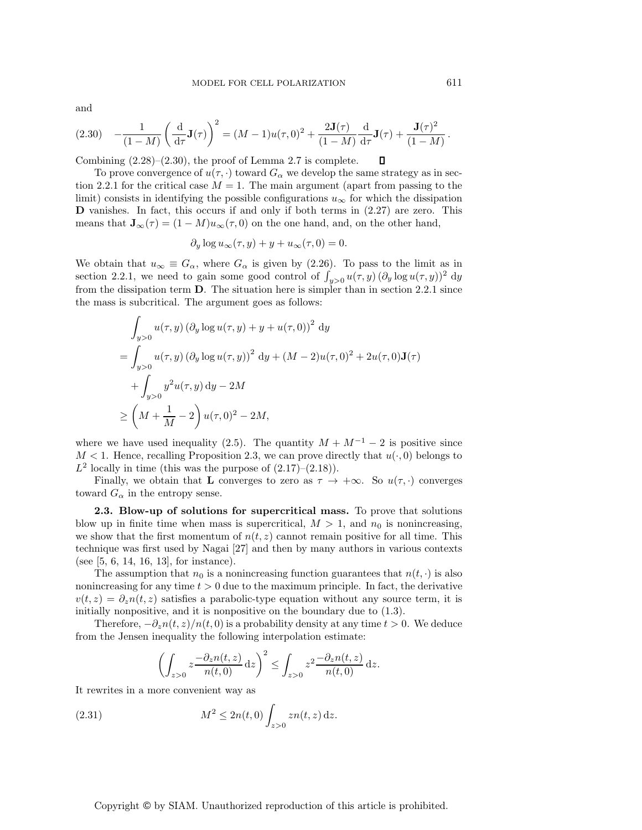and

$$
(2.30) \quad -\frac{1}{(1-M)} \left( \frac{d}{d\tau} \mathbf{J}(\tau) \right)^2 = (M-1)u(\tau,0)^2 + \frac{2\mathbf{J}(\tau)}{(1-M)} \frac{d}{d\tau} \mathbf{J}(\tau) + \frac{\mathbf{J}(\tau)^2}{(1-M)}.
$$

 $\Box$ Combining  $(2.28)$ – $(2.30)$ , the proof of Lemma 2.7 is complete.

To prove convergence of  $u(\tau, \cdot)$  toward  $G_{\alpha}$  we develop the same strategy as in section 2.2.1 for the critical case  $M = 1$ . The main argument (apart from passing to the limit) consists in identifying the possible configurations  $u_{\infty}$  for which the dissipation **D** vanishes. In fact, this occurs if and only if both terms in (2.27) are zero. This means that  $J_{\infty}(\tau) = (1 - M)u_{\infty}(\tau, 0)$  on the one hand, and, on the other hand,

$$
\partial_y \log u_{\infty}(\tau, y) + y + u_{\infty}(\tau, 0) = 0.
$$

We obtain that  $u_{\infty} \equiv G_{\alpha}$ , where  $G_{\alpha}$  is given by (2.26). To pass to the limit as in section 2.2.1, we need to gain some good control of  $\int_{y>0} u(\tau,y) (\partial_y \log u(\tau,y))^2 dy$ from the dissipation term **D**. The situation here is simpler than in section 2.2.1 since the mass is subcritical. The argument goes as follows:

$$
\int_{y>0} u(\tau, y) \left(\partial_y \log u(\tau, y) + y + u(\tau, 0)\right)^2 dy
$$
\n
$$
= \int_{y>0} u(\tau, y) \left(\partial_y \log u(\tau, y)\right)^2 dy + (M - 2)u(\tau, 0)^2 + 2u(\tau, 0)J(\tau)
$$
\n
$$
+ \int_{y>0} y^2 u(\tau, y) dy - 2M
$$
\n
$$
\ge \left(M + \frac{1}{M} - 2\right)u(\tau, 0)^2 - 2M,
$$

where we have used inequality (2.5). The quantity  $M + M^{-1} - 2$  is positive since  $M < 1$ . Hence, recalling Proposition 2.3, we can prove directly that  $u(\cdot, 0)$  belongs to  $L^2$  locally in time (this was the purpose of  $(2.17)$ – $(2.18)$ ).

Finally, we obtain that **L** converges to zero as  $\tau \to +\infty$ . So  $u(\tau, \cdot)$  converges toward  $G_{\alpha}$  in the entropy sense.

**2.3. Blow-up of solutions for supercritical mass.** To prove that solutions blow up in finite time when mass is supercritical,  $M > 1$ , and  $n_0$  is nonincreasing, we show that the first momentum of  $n(t, z)$  cannot remain positive for all time. This technique was first used by Nagai [27] and then by many authors in various contexts (see [5, 6, 14, 16, 13], for instance).

The assumption that  $n_0$  is a nonincreasing function guarantees that  $n(t, \cdot)$  is also nonincreasing for any time  $t > 0$  due to the maximum principle. In fact, the derivative  $v(t, z) = \partial_z n(t, z)$  satisfies a parabolic-type equation without any source term, it is initially nonpositive, and it is nonpositive on the boundary due to (1.3).

Therefore,  $-\partial_z n(t, z)/n(t, 0)$  is a probability density at any time  $t > 0$ . We deduce from the Jensen inequality the following interpolation estimate:

$$
\left(\int_{z>0} z \frac{-\partial_z n(t,z)}{n(t,0)} dz\right)^2 \le \int_{z>0} z^2 \frac{-\partial_z n(t,z)}{n(t,0)} dz.
$$

It rewrites in a more convenient way as

(2.31) 
$$
M^2 \le 2n(t,0) \int_{z>0} zn(t,z) dz.
$$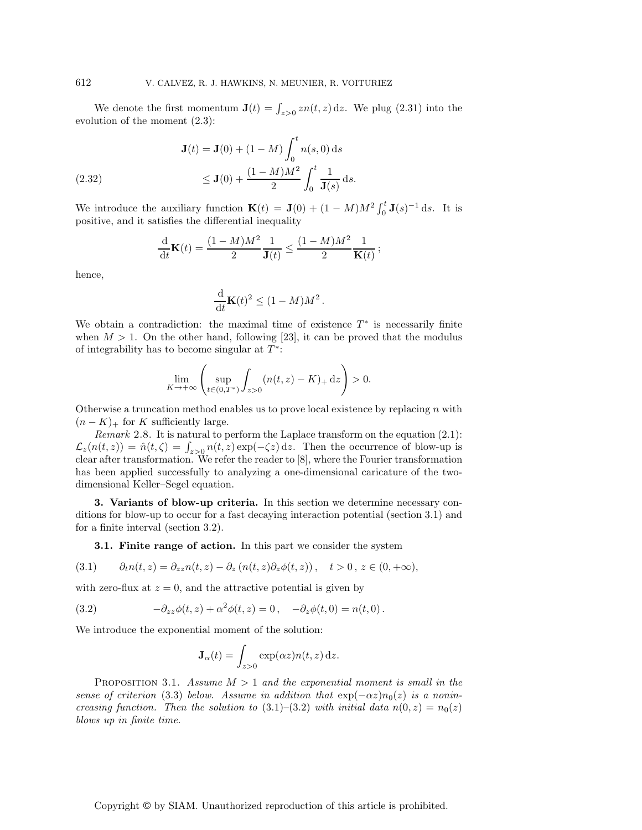We denote the first momentum  $\mathbf{J}(t) = \int_{z>0} z n(t, z) dz$ . We plug (2.31) into the evolution of the moment (2.3):

(2.32) 
$$
\mathbf{J}(t) = \mathbf{J}(0) + (1 - M) \int_0^t n(s, 0) \, ds
$$

$$
\leq \mathbf{J}(0) + \frac{(1 - M)M^2}{2} \int_0^t \frac{1}{\mathbf{J}(s)} \, ds.
$$

We introduce the auxiliary function  $\mathbf{K}(t) = \mathbf{J}(0) + (1 - M)M^2 \int_0^t \mathbf{J}(s)^{-1} ds$ . It is positive, and it satisfies the differential inequality

$$
\frac{\mathrm{d}}{\mathrm{d}t}\mathbf{K}(t) = \frac{(1-M)M^2}{2}\frac{1}{\mathbf{J}(t)} \le \frac{(1-M)M^2}{2}\frac{1}{\mathbf{K}(t)};
$$

hence,

$$
\frac{\mathrm{d}}{\mathrm{d}t}\mathbf{K}(t)^2 \le (1-M)M^2.
$$

We obtain a contradiction: the maximal time of existence  $T^*$  is necessarily finite when  $M > 1$ . On the other hand, following [23], it can be proved that the modulus of integrability has to become singular at  $T^*$ :

$$
\lim_{K \to +\infty} \left( \sup_{t \in (0,T^*)} \int_{z>0} (n(t,z) - K)_+ \, dz \right) > 0.
$$

Otherwise a truncation method enables us to prove local existence by replacing  $n$  with  $(n - K)$ <sub>+</sub> for K sufficiently large.

*Remark* 2.8. It is natural to perform the Laplace transform on the equation (2.1):  $\mathcal{L}_z(n(t,z)) = \hat{n}(t,\zeta) = \int_{z>0} n(t,z) \exp(-\zeta z) dz$ . Then the occurrence of blow-up is clear after transformation. We refer the reader to [8], where the Fourier transformation has been applied successfully to analyzing a one-dimensional caricature of the twodimensional Keller–Segel equation.

**3. Variants of blow-up criteria.** In this section we determine necessary conditions for blow-up to occur for a fast decaying interaction potential (section 3.1) and for a finite interval (section 3.2).

**3.1. Finite range of action.** In this part we consider the system

$$
(3.1) \qquad \partial_t n(t,z) = \partial_{zz} n(t,z) - \partial_z (n(t,z)\partial_z \phi(t,z)), \quad t > 0, \ z \in (0, +\infty),
$$

with zero-flux at  $z = 0$ , and the attractive potential is given by

(3.2) 
$$
-\partial_{zz}\phi(t,z) + \alpha^2\phi(t,z) = 0, \quad -\partial_z\phi(t,0) = n(t,0).
$$

We introduce the exponential moment of the solution:

$$
\mathbf{J}_{\alpha}(t) = \int_{z>0} \exp(\alpha z) n(t, z) \, \mathrm{d}z.
$$

Proposition 3.1. *Assume* M > 1 *and the exponential moment is small in the sense of criterion* (3.3) *below.* Assume in addition that  $\exp(-\alpha z)n_0(z)$  is a nonin*creasing function. Then the solution to*  $(3.1)$ – $(3.2)$  *with initial data*  $n(0, z) = n_0(z)$ *blows up in finite time.*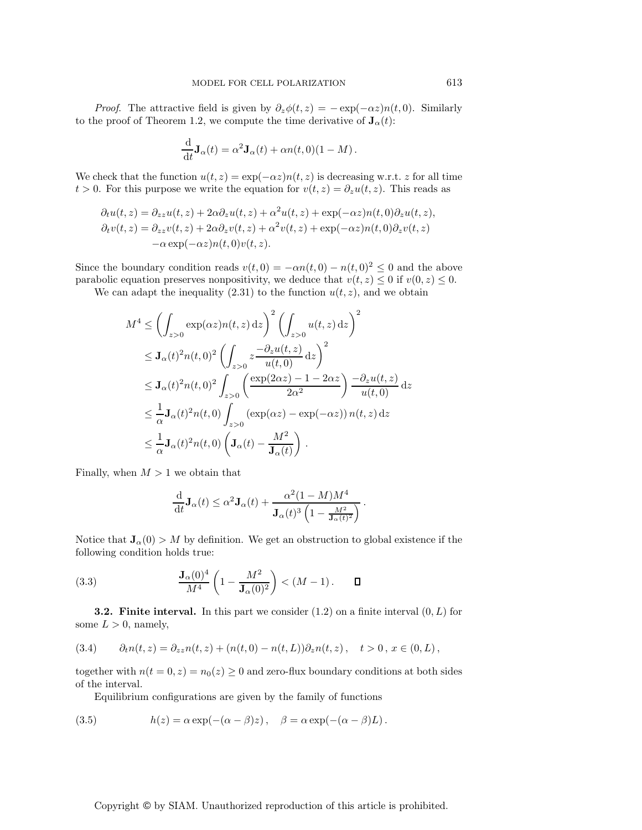*Proof.* The attractive field is given by  $\partial_z \phi(t, z) = -\exp(-\alpha z) n(t, 0)$ . Similarly to the proof of Theorem 1.2, we compute the time derivative of  $J_\alpha(t)$ :

$$
\frac{\mathrm{d}}{\mathrm{d}t}\mathbf{J}_{\alpha}(t) = \alpha^{2}\mathbf{J}_{\alpha}(t) + \alpha n(t,0)(1-M).
$$

We check that the function  $u(t, z) = \exp(-\alpha z)n(t, z)$  is decreasing w.r.t. z for all time  $t > 0$ . For this purpose we write the equation for  $v(t, z) = \partial_z u(t, z)$ . This reads as

$$
\partial_t u(t, z) = \partial_{zz} u(t, z) + 2\alpha \partial_z u(t, z) + \alpha^2 u(t, z) + \exp(-\alpha z) n(t, 0) \partial_z u(t, z),
$$
  
\n
$$
\partial_t v(t, z) = \partial_{zz} v(t, z) + 2\alpha \partial_z v(t, z) + \alpha^2 v(t, z) + \exp(-\alpha z) n(t, 0) \partial_z v(t, z)
$$
  
\n
$$
-\alpha \exp(-\alpha z) n(t, 0) v(t, z).
$$

Since the boundary condition reads  $v(t, 0) = -\alpha n(t, 0) - n(t, 0)^2 \leq 0$  and the above parabolic equation preserves nonpositivity, we deduce that  $v(t, z) \leq 0$  if  $v(0, z) \leq 0$ .

We can adapt the inequality  $(2.31)$  to the function  $u(t, z)$ , and we obtain

$$
M^{4} \leq \left(\int_{z>0} \exp(\alpha z) n(t, z) dz\right)^{2} \left(\int_{z>0} u(t, z) dz\right)^{2}
$$
  
\n
$$
\leq \mathbf{J}_{\alpha}(t)^{2} n(t, 0)^{2} \left(\int_{z>0} z \frac{-\partial_{z} u(t, z)}{u(t, 0)} dz\right)^{2}
$$
  
\n
$$
\leq \mathbf{J}_{\alpha}(t)^{2} n(t, 0)^{2} \int_{z>0} \left(\frac{\exp(2\alpha z) - 1 - 2\alpha z}{2\alpha^{2}}\right) \frac{-\partial_{z} u(t, z)}{u(t, 0)} dz
$$
  
\n
$$
\leq \frac{1}{\alpha} \mathbf{J}_{\alpha}(t)^{2} n(t, 0) \int_{z>0} \left(\exp(\alpha z) - \exp(-\alpha z)\right) n(t, z) dz
$$
  
\n
$$
\leq \frac{1}{\alpha} \mathbf{J}_{\alpha}(t)^{2} n(t, 0) \left(\mathbf{J}_{\alpha}(t) - \frac{M^{2}}{\mathbf{J}_{\alpha}(t)}\right).
$$

Finally, when  $M > 1$  we obtain that

$$
\frac{\mathrm{d}}{\mathrm{d}t} \mathbf{J}_{\alpha}(t) \leq \alpha^2 \mathbf{J}_{\alpha}(t) + \frac{\alpha^2 (1 - M) M^4}{\mathbf{J}_{\alpha}(t)^3 \left(1 - \frac{M^2}{\mathbf{J}_{\alpha}(t)^2} \right)}.
$$

Notice that  $J_\alpha(0) > M$  by definition. We get an obstruction to global existence if the following condition holds true:

(3.3) 
$$
\frac{\mathbf{J}_{\alpha}(0)^{4}}{M^{4}} \left(1 - \frac{M^{2}}{\mathbf{J}_{\alpha}(0)^{2}}\right) < (M - 1). \quad \Box
$$

**3.2. Finite interval.** In this part we consider  $(1.2)$  on a finite interval  $(0, L)$  for some  $L > 0$ , namely,

(3.4) 
$$
\partial_t n(t, z) = \partial_{zz} n(t, z) + (n(t, 0) - n(t, L)) \partial_z n(t, z), \quad t > 0, x \in (0, L),
$$

together with  $n(t = 0, z) = n_0(z) \geq 0$  and zero-flux boundary conditions at both sides of the interval.

Equilibrium configurations are given by the family of functions

(3.5) 
$$
h(z) = \alpha \exp(-(\alpha - \beta)z), \quad \beta = \alpha \exp(-(\alpha - \beta)L).
$$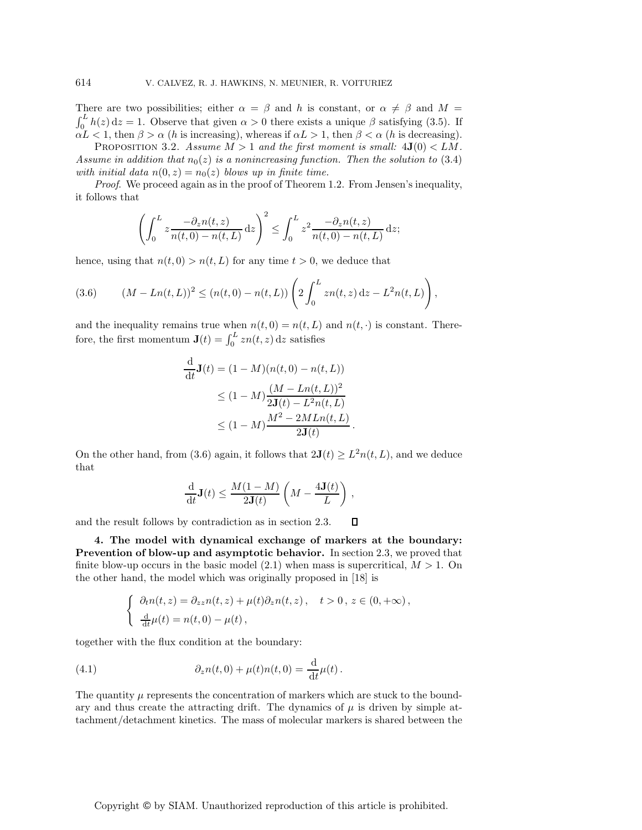There are two possibilities; either  $\alpha = \beta$  and h is constant, or  $\alpha \neq \beta$  and  $M =$  $\int_0^L h(z) dz = 1$ . Observe that given  $\alpha > 0$  there exists a unique  $\beta$  satisfying (3.5). If  $\alpha L < 1$ , then  $\beta > \alpha$  (h is increasing), whereas if  $\alpha L > 1$ , then  $\beta < \alpha$  (h is decreasing).

PROPOSITION 3.2. Assume  $M > 1$  and the first moment is small:  $4J(0) < LM$ . *Assume in addition that*  $n_0(z)$  *is a nonincreasing function. Then the solution to* (3.4) *with initial data*  $n(0, z) = n_0(z)$  *blows up in finite time.* 

*Proof.* We proceed again as in the proof of Theorem 1.2. From Jensen's inequality, it follows that

$$
\left(\int_0^L z \frac{-\partial_z n(t,z)}{n(t,0) - n(t,L)} dz\right)^2 \le \int_0^L z^2 \frac{-\partial_z n(t,z)}{n(t,0) - n(t,L)} dz;
$$

hence, using that  $n(t, 0) > n(t, L)$  for any time  $t > 0$ , we deduce that

(3.6) 
$$
(M - Ln(t, L))^2 \le (n(t, 0) - n(t, L)) \left( 2 \int_0^L z n(t, z) dz - L^2 n(t, L) \right),
$$

and the inequality remains true when  $n(t, 0) = n(t, L)$  and  $n(t, \cdot)$  is constant. Therefore, the first momentum  $\mathbf{J}(t) = \int_0^L z n(t, z) dz$  satisfies

$$
\frac{\mathrm{d}}{\mathrm{d}t}\mathbf{J}(t) = (1 - M)(n(t, 0) - n(t, L))
$$
\n
$$
\leq (1 - M)\frac{(M - Ln(t, L))^{2}}{2\mathbf{J}(t) - L^{2}n(t, L)}
$$
\n
$$
\leq (1 - M)\frac{M^{2} - 2MLn(t, L)}{2\mathbf{J}(t)}.
$$

On the other hand, from (3.6) again, it follows that  $2\mathbf{J}(t) \geq L^2n(t, L)$ , and we deduce that

$$
\frac{\mathrm{d}}{\mathrm{d}t}\mathbf{J}(t) \le \frac{M(1-M)}{2\mathbf{J}(t)}\left(M - \frac{4\mathbf{J}(t)}{L}\right),\,
$$

and the result follows by contradiction as in section 2.3. П

**4. The model with dynamical exchange of markers at the boundary: Prevention of blow-up and asymptotic behavior.** In section 2.3, we proved that finite blow-up occurs in the basic model  $(2.1)$  when mass is supercritical,  $M > 1$ . On the other hand, the model which was originally proposed in [18] is

$$
\begin{cases} \n\partial_t n(t, z) = \partial_{zz} n(t, z) + \mu(t) \partial_z n(t, z), \quad t > 0, \, z \in (0, +\infty), \\
\frac{d}{dt} \mu(t) = n(t, 0) - \mu(t), \n\end{cases}
$$

together with the flux condition at the boundary:

(4.1) 
$$
\partial_z n(t,0) + \mu(t)n(t,0) = \frac{\mathrm{d}}{\mathrm{d}t}\mu(t).
$$

The quantity  $\mu$  represents the concentration of markers which are stuck to the boundary and thus create the attracting drift. The dynamics of  $\mu$  is driven by simple attachment/detachment kinetics. The mass of molecular markers is shared between the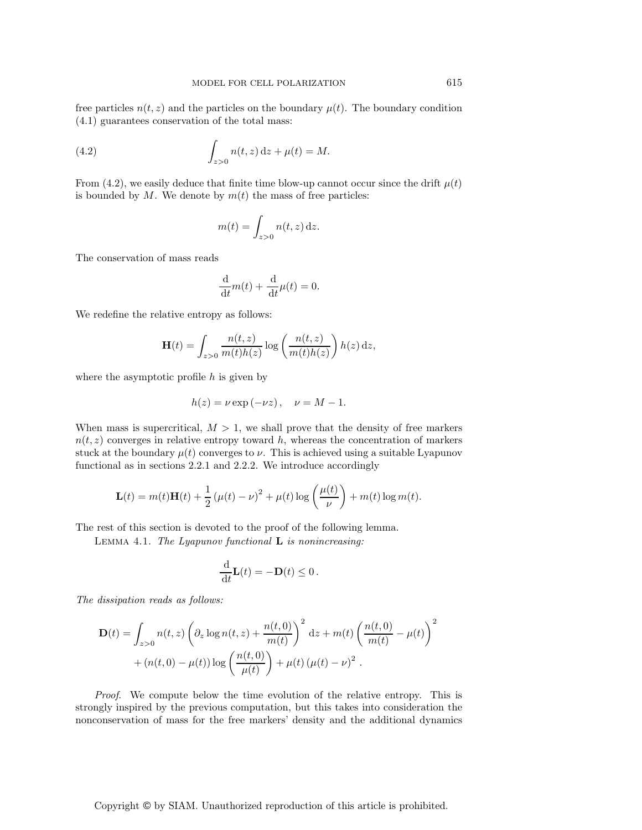free particles  $n(t, z)$  and the particles on the boundary  $\mu(t)$ . The boundary condition (4.1) guarantees conservation of the total mass:

(4.2) 
$$
\int_{z>0} n(t,z) dz + \mu(t) = M.
$$

From (4.2), we easily deduce that finite time blow-up cannot occur since the drift  $\mu(t)$ is bounded by  $M$ . We denote by  $m(t)$  the mass of free particles:

$$
m(t) = \int_{z>0} n(t, z) dz.
$$

The conservation of mass reads

$$
\frac{\mathrm{d}}{\mathrm{d}t}m(t) + \frac{\mathrm{d}}{\mathrm{d}t}\mu(t) = 0.
$$

We redefine the relative entropy as follows:

$$
\mathbf{H}(t) = \int_{z>0} \frac{n(t,z)}{m(t)h(z)} \log\left(\frac{n(t,z)}{m(t)h(z)}\right)h(z) dz,
$$

where the asymptotic profile  $h$  is given by

$$
h(z) = \nu \exp(-\nu z), \quad \nu = M - 1.
$$

When mass is supercritical,  $M > 1$ , we shall prove that the density of free markers  $n(t, z)$  converges in relative entropy toward h, whereas the concentration of markers stuck at the boundary  $\mu(t)$  converges to  $\nu$ . This is achieved using a suitable Lyapunov functional as in sections 2.2.1 and 2.2.2. We introduce accordingly

$$
\mathbf{L}(t) = m(t)\mathbf{H}(t) + \frac{1}{2}(\mu(t) - \nu)^2 + \mu(t)\log\left(\frac{\mu(t)}{\nu}\right) + m(t)\log m(t).
$$

The rest of this section is devoted to the proof of the following lemma.

Lemma 4.1. *The Lyapunov functional* **L** *is nonincreasing:*

$$
\frac{\mathrm{d}}{\mathrm{d}t}\mathbf{L}(t) = -\mathbf{D}(t) \leq 0.
$$

*The dissipation reads as follows:*

$$
\mathbf{D}(t) = \int_{z>0} n(t, z) \left( \partial_z \log n(t, z) + \frac{n(t, 0)}{m(t)} \right)^2 dz + m(t) \left( \frac{n(t, 0)}{m(t)} - \mu(t) \right)^2 + (n(t, 0) - \mu(t)) \log \left( \frac{n(t, 0)}{\mu(t)} \right) + \mu(t) (\mu(t) - \nu)^2.
$$

*Proof*. We compute below the time evolution of the relative entropy. This is strongly inspired by the previous computation, but this takes into consideration the nonconservation of mass for the free markers' density and the additional dynamics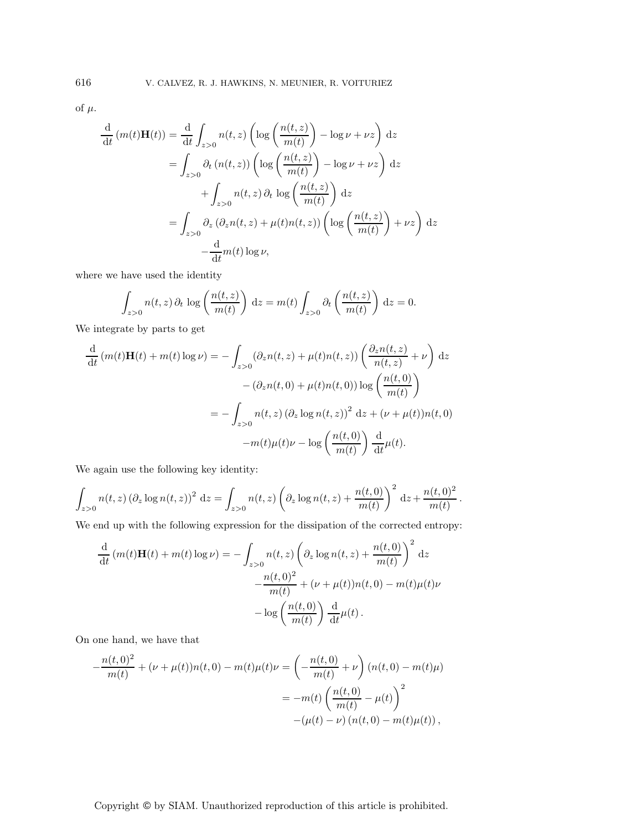of  $\mu$ .

$$
\frac{d}{dt} (m(t) \mathbf{H}(t)) = \frac{d}{dt} \int_{z>0} n(t, z) \left( \log \left( \frac{n(t, z)}{m(t)} \right) - \log \nu + \nu z \right) dz
$$

$$
= \int_{z>0} \partial_t (n(t, z)) \left( \log \left( \frac{n(t, z)}{m(t)} \right) - \log \nu + \nu z \right) dz
$$

$$
+ \int_{z>0} n(t, z) \partial_t \log \left( \frac{n(t, z)}{m(t)} \right) dz
$$

$$
= \int_{z>0} \partial_z (\partial_z n(t, z) + \mu(t) n(t, z)) \left( \log \left( \frac{n(t, z)}{m(t)} \right) + \nu z \right) dz
$$

$$
- \frac{d}{dt} m(t) \log \nu,
$$

where we have used the identity

$$
\int_{z>0} n(t,z) \, \partial_t \, \log\left(\frac{n(t,z)}{m(t)}\right) \, \mathrm{d}z = m(t) \int_{z>0} \partial_t \left(\frac{n(t,z)}{m(t)}\right) \, \mathrm{d}z = 0.
$$

We integrate by parts to get

$$
\frac{d}{dt} (m(t)\mathbf{H}(t) + m(t) \log \nu) = -\int_{z>0} (\partial_z n(t, z) + \mu(t) n(t, z)) \left( \frac{\partial_z n(t, z)}{n(t, z)} + \nu \right) dz
$$

$$
- (\partial_z n(t, 0) + \mu(t) n(t, 0)) \log \left( \frac{n(t, 0)}{m(t)} \right)
$$

$$
= -\int_{z>0} n(t, z) (\partial_z \log n(t, z))^2 dz + (\nu + \mu(t)) n(t, 0)
$$

$$
-m(t)\mu(t)\nu - \log \left( \frac{n(t, 0)}{m(t)} \right) \frac{d}{dt}\mu(t).
$$

We again use the following key identity:

$$
\int_{z>0} n(t,z) (\partial_z \log n(t,z))^2 dz = \int_{z>0} n(t,z) \left( \partial_z \log n(t,z) + \frac{n(t,0)}{m(t)} \right)^2 dz + \frac{n(t,0)^2}{m(t)}.
$$

We end up with the following expression for the dissipation of the corrected entropy:

$$
\frac{\mathrm{d}}{\mathrm{d}t} (m(t)\mathbf{H}(t) + m(t)\log \nu) = -\int_{z>0} n(t,z) \left(\partial_z \log n(t,z) + \frac{n(t,0)}{m(t)}\right)^2 \mathrm{d}z
$$

$$
-\frac{n(t,0)^2}{m(t)} + (\nu + \mu(t))n(t,0) - m(t)\mu(t)\nu
$$

$$
-\log\left(\frac{n(t,0)}{m(t)}\right) \frac{\mathrm{d}}{\mathrm{d}t}\mu(t).
$$

On one hand, we have that

$$
-\frac{n(t,0)^2}{m(t)} + (\nu + \mu(t))n(t,0) - m(t)\mu(t)\nu = \left(-\frac{n(t,0)}{m(t)} + \nu\right)(n(t,0) - m(t)\mu)
$$
  
= 
$$
-m(t)\left(\frac{n(t,0)}{m(t)} - \mu(t)\right)^2
$$

$$
-(\mu(t) - \nu)(n(t,0) - m(t)\mu(t)),
$$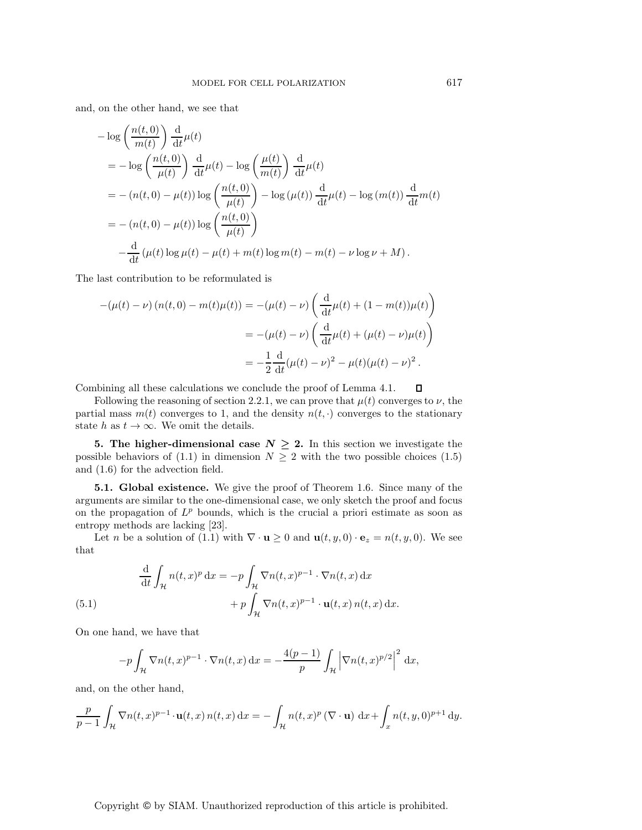and, on the other hand, we see that

$$
-\log\left(\frac{n(t,0)}{m(t)}\right) \frac{d}{dt}\mu(t)
$$
  
=  $-\log\left(\frac{n(t,0)}{\mu(t)}\right) \frac{d}{dt}\mu(t) - \log\left(\frac{\mu(t)}{m(t)}\right) \frac{d}{dt}\mu(t)$   
=  $-(n(t,0) - \mu(t)) \log\left(\frac{n(t,0)}{\mu(t)}\right) - \log(\mu(t)) \frac{d}{dt}\mu(t) - \log(m(t)) \frac{d}{dt}m(t)$   
=  $-(n(t,0) - \mu(t)) \log\left(\frac{n(t,0)}{\mu(t)}\right)$   
 $-\frac{d}{dt}(\mu(t) \log \mu(t) - \mu(t) + m(t) \log m(t) - m(t) - \nu \log \nu + M).$ 

The last contribution to be reformulated is

$$
-(\mu(t) - \nu) (n(t,0) - m(t)\mu(t)) = -(\mu(t) - \nu) \left( \frac{d}{dt}\mu(t) + (1 - m(t))\mu(t) \right)
$$
  
= -(\mu(t) - \nu) \left( \frac{d}{dt}\mu(t) + (\mu(t) - \nu)\mu(t) \right)  
= -\frac{1}{2} \frac{d}{dt}(\mu(t) - \nu)^2 - \mu(t)(\mu(t) - \nu)^2.

Combining all these calculations we conclude the proof of Lemma 4.1.  $\Box$ 

Following the reasoning of section 2.2.1, we can prove that  $\mu(t)$  converges to  $\nu$ , the partial mass  $m(t)$  converges to 1, and the density  $n(t, \cdot)$  converges to the stationary state h as  $t \to \infty$ . We omit the details.

**5. The higher-dimensional case**  $N \geq 2$ **.** In this section we investigate the possible behaviors of (1.1) in dimension  $N \geq 2$  with the two possible choices (1.5) and (1.6) for the advection field.

**5.1. Global existence.** We give the proof of Theorem 1.6. Since many of the arguments are similar to the one-dimensional case, we only sketch the proof and focus on the propagation of  $L^p$  bounds, which is the crucial a priori estimate as soon as entropy methods are lacking [23].

Let *n* be a solution of (1.1) with  $\nabla \cdot \mathbf{u} \ge 0$  and  $\mathbf{u}(t, y, 0) \cdot \mathbf{e}_z = n(t, y, 0)$ . We see that

(5.1) 
$$
\frac{\mathrm{d}}{\mathrm{d}t} \int_{\mathcal{H}} n(t,x)^p \, \mathrm{d}x = -p \int_{\mathcal{H}} \nabla n(t,x)^{p-1} \cdot \nabla n(t,x) \, \mathrm{d}x + p \int_{\mathcal{H}} \nabla n(t,x)^{p-1} \cdot \mathbf{u}(t,x) \, n(t,x) \, \mathrm{d}x.
$$

On one hand, we have that

$$
-p\int_{\mathcal{H}} \nabla n(t,x)^{p-1} \cdot \nabla n(t,x) dx = -\frac{4(p-1)}{p} \int_{\mathcal{H}} \left|\nabla n(t,x)^{p/2}\right|^2 dx,
$$

and, on the other hand,

$$
\frac{p}{p-1} \int_{\mathcal{H}} \nabla n(t,x)^{p-1} \cdot \mathbf{u}(t,x) \, n(t,x) \, dx = -\int_{\mathcal{H}} n(t,x)^p \left(\nabla \cdot \mathbf{u}\right) \, dx + \int_x n(t,y,0)^{p+1} \, dy.
$$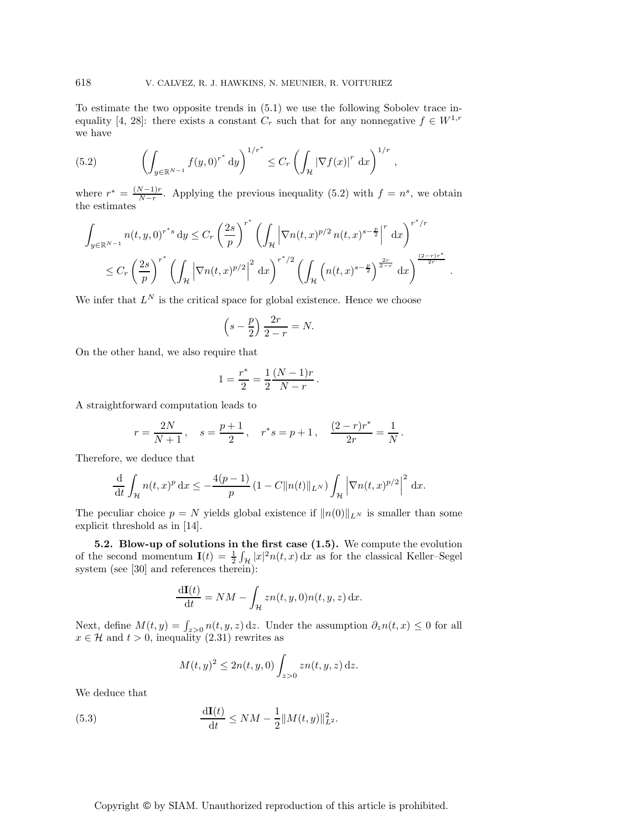To estimate the two opposite trends in (5.1) we use the following Sobolev trace inequality [4, 28]: there exists a constant  $C_r$  such that for any nonnegative  $f \in W^{1,r}$ we have

(5.2) 
$$
\left(\int_{y \in \mathbb{R}^{N-1}} f(y,0)^{r^*} dy\right)^{1/r^*} \leq C_r \left(\int_{\mathcal{H}} |\nabla f(x)|^r dx\right)^{1/r},
$$

where  $r^* = \frac{(N-1)r}{N-r}$ . Applying the previous inequality (5.2) with  $f = n^s$ , we obtain the estimates

$$
\int_{y \in \mathbb{R}^{N-1}} n(t, y, 0)^{r+s} dy \le C_r \left(\frac{2s}{p}\right)^{r^*} \left(\int_{\mathcal{H}} \left|\nabla n(t, x)^{p/2} n(t, x)^{s-\frac{p}{2}}\right|^r dx\right)^{r^*/r}
$$
  

$$
\le C_r \left(\frac{2s}{p}\right)^{r^*} \left(\int_{\mathcal{H}} \left|\nabla n(t, x)^{p/2}\right|^2 dx\right)^{r^*/2} \left(\int_{\mathcal{H}} \left(n(t, x)^{s-\frac{p}{2}}\right)^{\frac{2r}{2-r}} dx\right)^{\frac{(2-r)r^*}{2r}}.
$$

We infer that  $L^N$  is the critical space for global existence. Hence we choose

$$
\left(s - \frac{p}{2}\right) \frac{2r}{2 - r} = N.
$$

On the other hand, we also require that

$$
1 = \frac{r^*}{2} = \frac{1}{2} \frac{(N-1)r}{N-r}.
$$

A straightforward computation leads to

$$
r = \frac{2N}{N+1}
$$
,  $s = \frac{p+1}{2}$ ,  $r^*s = p+1$ ,  $\frac{(2-r)r^*}{2r} = \frac{1}{N}$ .

Therefore, we deduce that

$$
\frac{\mathrm{d}}{\mathrm{d}t} \int_{\mathcal{H}} n(t,x)^p \,\mathrm{d}x \le -\frac{4(p-1)}{p} \left(1 - C \|n(t)\|_{L^N}\right) \int_{\mathcal{H}} \left|\nabla n(t,x)^{p/2}\right|^2 \,\mathrm{d}x.
$$

The peculiar choice  $p = N$  yields global existence if  $||n(0)||_{L^N}$  is smaller than some explicit threshold as in [14].

**5.2. Blow-up of solutions in the first case (1.5).** We compute the evolution of the second momentum  $\mathbf{I}(t) = \frac{1}{2} \int_{\mathcal{H}} |x|^2 n(t, x) dx$  as for the classical Keller–Segel system (see [30] and references therein):

$$
\frac{\mathrm{d} \mathbf{I}(t)}{\mathrm{d} t} = NM - \int_{\mathcal{H}} zn(t, y, 0) n(t, y, z) \, \mathrm{d} x.
$$

Next, define  $M(t, y) = \int_{z>0} n(t, y, z) dz$ . Under the assumption  $\partial_z n(t, x) \leq 0$  for all  $x \in \mathcal{H}$  and  $t > 0$ , inequality (2.31) rewrites as

$$
M(t, y)^2 \le 2n(t, y, 0) \int_{z>0} zn(t, y, z) dz.
$$

We deduce that

(5.3) 
$$
\frac{d\mathbf{I}(t)}{dt} \le NM - \frac{1}{2} ||M(t, y)||_{L^2}^2.
$$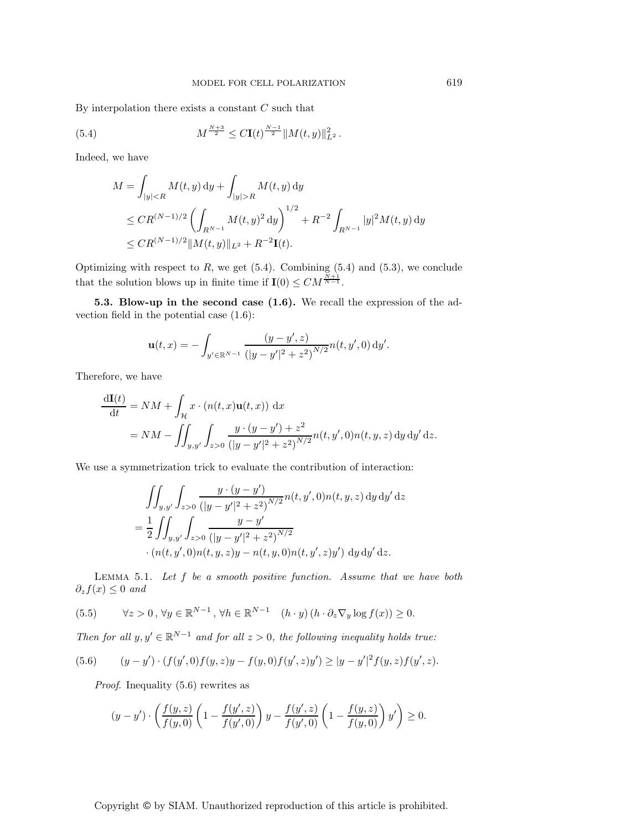By interpolation there exists a constant  $C$  such that

(5.4) 
$$
M^{\frac{N+3}{2}} \leq C \mathbf{I}(t)^{\frac{N-1}{2}} \|M(t,y)\|_{L^2}^2.
$$

Indeed, we have

$$
M = \int_{|y| < R} M(t, y) \, dy + \int_{|y| > R} M(t, y) \, dy
$$
\n
$$
\leq C R^{(N-1)/2} \left( \int_{R^{N-1}} M(t, y)^2 \, dy \right)^{1/2} + R^{-2} \int_{R^{N-1}} |y|^2 M(t, y) \, dy
$$
\n
$$
\leq C R^{(N-1)/2} \|M(t, y)\|_{L^2} + R^{-2} \mathbf{I}(t).
$$

Optimizing with respect to  $R$ , we get  $(5.4)$ . Combining  $(5.4)$  and  $(5.3)$ , we conclude that the solution blows up in finite time if  $I(0) \leq CM^{\frac{N+1}{N-1}}$ .

**5.3. Blow-up in the second case (1.6).** We recall the expression of the advection field in the potential case (1.6):

$$
\mathbf{u}(t,x) = -\int_{y' \in \mathbb{R}^{N-1}} \frac{(y-y',z)}{(|y-y'|^2+z^2)^{N/2}} n(t,y',0) \, dy'.
$$

Therefore, we have

$$
\frac{d\mathbf{I}(t)}{dt} = NM + \int_{\mathcal{H}} x \cdot (n(t, x)\mathbf{u}(t, x)) dx
$$
  
= NM -  $\iint_{y, y'} \int_{z>0} \frac{y \cdot (y - y') + z^2}{(\vert y - y' \vert^2 + z^2)^{N/2}} n(t, y', 0) n(t, y, z) dy dy' dz.$ 

We use a symmetrization trick to evaluate the contribution of interaction:

$$
\iint_{y,y'} \int_{z>0} \frac{y \cdot (y-y')}{(|y-y'|^2 + z^2)^{N/2}} n(t,y',0) n(t,y,z) dy dy' dz
$$
  
= 
$$
\frac{1}{2} \iint_{y,y'} \int_{z>0} \frac{y-y'}{(|y-y'|^2 + z^2)^{N/2}}
$$

$$
\cdot (n(t,y',0) n(t,y,z) y - n(t,y,0) n(t,y',z) y') dy dy' dz.
$$

Lemma 5.1. *Let* f *be a smooth positive function. Assume that we have both*  $\partial_z f(x) \leq 0$  *and* 

(5.5)  $\forall z > 0$ ,  $\forall y \in \mathbb{R}^{N-1}$ ,  $\forall h \in \mathbb{R}^{N-1}$   $(h \cdot y) (h \cdot \partial_z \nabla_y \log f(x)) \geq 0$ .

*Then for all*  $y, y' \in \mathbb{R}^{N-1}$  *and for all*  $z > 0$ *, the following inequality holds true:* 

(5.6) 
$$
(y - y') \cdot (f(y', 0) f(y, z) y - f(y, 0) f(y', z) y') \ge |y - y'|^2 f(y, z) f(y', z).
$$

*Proof*. Inequality (5.6) rewrites as

$$
(y - y') \cdot \left( \frac{f(y, z)}{f(y, 0)} \left( 1 - \frac{f(y', z)}{f(y', 0)} \right) y - \frac{f(y', z)}{f(y', 0)} \left( 1 - \frac{f(y, z)}{f(y, 0)} \right) y' \right) \ge 0.
$$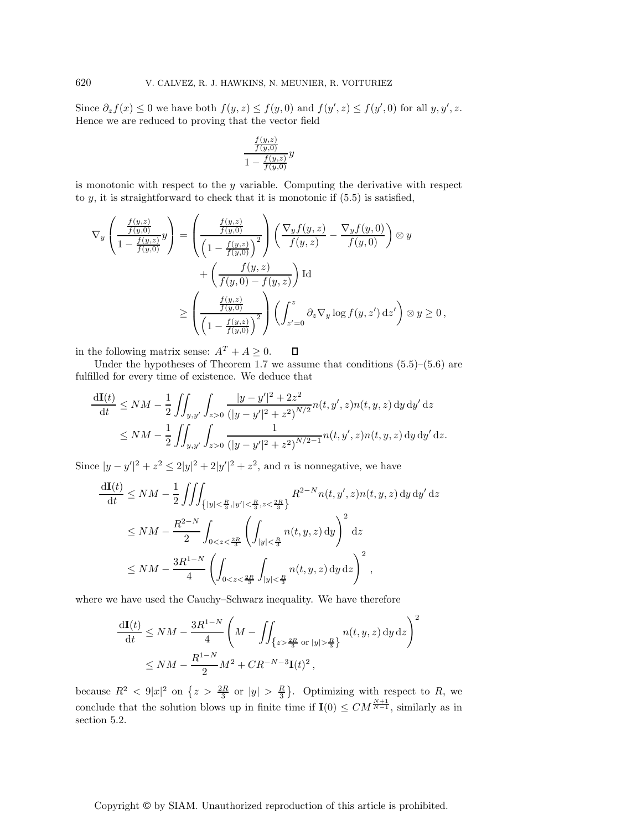Since  $\partial_z f(x) \leq 0$  we have both  $f(y, z) \leq f(y, 0)$  and  $f(y', z) \leq f(y', 0)$  for all  $y, y', z$ . Hence we are reduced to proving that the vector field

$$
\frac{\frac{f(y,z)}{f(y,0)}}{1-\frac{f(y,z)}{f(y,0)}}y
$$

is monotonic with respect to the  $y$  variable. Computing the derivative with respect to  $y$ , it is straightforward to check that it is monotonic if  $(5.5)$  is satisfied,

$$
\nabla_y \left( \frac{\frac{f(y,z)}{f(y,0)}}{1 - \frac{f(y,z)}{f(y,0)}} y \right) = \left( \frac{\frac{f(y,z)}{f(y,0)}}{\left(1 - \frac{f(y,z)}{f(y,0)}\right)^2} \right) \left( \frac{\nabla_y f(y,z)}{f(y,z)} - \frac{\nabla_y f(y,0)}{f(y,0)} \right) \otimes y \n+ \left( \frac{f(y,z)}{f(y,0) - f(y,z)} \right) \mathrm{Id} \n\ge \left( \frac{\frac{f(y,z)}{f(y,0)}}{\left(1 - \frac{f(y,z)}{f(y,0)}\right)^2} \right) \left( \int_{z'=0}^z \partial_z \nabla_y \log f(y,z') \, \mathrm{d}z' \right) \otimes y \ge 0,
$$

in the following matrix sense:  $A^T + A \geq 0$ .  $\Box$ 

Under the hypotheses of Theorem 1.7 we assume that conditions  $(5.5)$ – $(5.6)$  are fulfilled for every time of existence. We deduce that

$$
\frac{d\mathbf{I}(t)}{dt} \le NM - \frac{1}{2} \iint_{y,y'} \int_{z>0} \frac{|y-y'|^2 + 2z^2}{(|y-y'|^2 + z^2)^{N/2}} n(t, y', z) n(t, y, z) dy dy' dz
$$
  

$$
\le NM - \frac{1}{2} \iint_{y,y'} \int_{z>0} \frac{1}{(|y-y'|^2 + z^2)^{N/2 - 1}} n(t, y', z) n(t, y, z) dy dy' dz.
$$

Since  $|y - y'|^2 + z^2 \leq 2|y|^2 + 2|y'|^2 + z^2$ , and *n* is nonnegative, we have

$$
\frac{dI(t)}{dt} \le NM - \frac{1}{2} \iiint_{\{|y| < \frac{R}{3}, |y'| < \frac{R}{3}, z < \frac{2R}{3}\}} R^{2-N} n(t, y', z) n(t, y, z) \, dy \, dy' \, dz
$$
\n
$$
\le NM - \frac{R^{2-N}}{2} \int_{0 < z < \frac{2R}{3}} \left( \int_{|y| < \frac{R}{3}} n(t, y, z) \, dy \right)^2 \, dz
$$
\n
$$
\le NM - \frac{3R^{1-N}}{4} \left( \int_{0 < z < \frac{2R}{3}} \int_{|y| < \frac{R}{3}} n(t, y, z) \, dy \, dz \right)^2,
$$

where we have used the Cauchy–Schwarz inequality. We have therefore

$$
\frac{d\mathbf{I}(t)}{dt} \le NM - \frac{3R^{1-N}}{4} \left(M - \iint_{\{z > \frac{2R}{3} \text{ or } |y| > \frac{R}{3}\}} n(t, y, z) dy dz\right)^2
$$
  

$$
\le NM - \frac{R^{1-N}}{2}M^2 + CR^{-N-3}\mathbf{I}(t)^2,
$$

because  $R^2 < 9|x|^2$  on  $\{z > \frac{2R}{3}$  or  $|y| > \frac{R}{3}\}$ . Optimizing with respect to R, we conclude that the solution blows up in finite time if  $I(0) \leq CM^{\frac{N+1}{N-1}}$ , similarly as in section 5.2.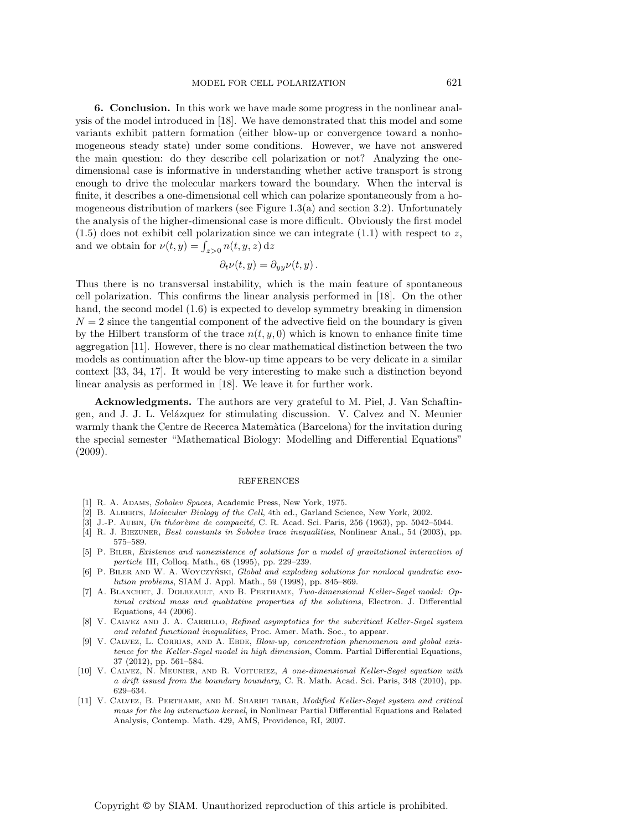**6. Conclusion.** In this work we have made some progress in the nonlinear analysis of the model introduced in [18]. We have demonstrated that this model and some variants exhibit pattern formation (either blow-up or convergence toward a nonhomogeneous steady state) under some conditions. However, we have not answered the main question: do they describe cell polarization or not? Analyzing the onedimensional case is informative in understanding whether active transport is strong enough to drive the molecular markers toward the boundary. When the interval is finite, it describes a one-dimensional cell which can polarize spontaneously from a homogeneous distribution of markers (see Figure 1.3(a) and section 3.2). Unfortunately the analysis of the higher-dimensional case is more difficult. Obviously the first model  $(1.5)$  does not exhibit cell polarization since we can integrate  $(1.1)$  with respect to z, and we obtain for  $\nu(t, y) = \int_{z>0}^{\infty} n(t, y, z) dz$ 

$$
\partial_t \nu(t, y) = \partial_{yy} \nu(t, y) \, .
$$

Thus there is no transversal instability, which is the main feature of spontaneous cell polarization. This confirms the linear analysis performed in [18]. On the other hand, the second model (1.6) is expected to develop symmetry breaking in dimension  $N = 2$  since the tangential component of the advective field on the boundary is given by the Hilbert transform of the trace  $n(t, y, 0)$  which is known to enhance finite time aggregation [11]. However, there is no clear mathematical distinction between the two models as continuation after the blow-up time appears to be very delicate in a similar context [33, 34, 17]. It would be very interesting to make such a distinction beyond linear analysis as performed in [18]. We leave it for further work.

**Acknowledgments.** The authors are very grateful to M. Piel, J. Van Schaftingen, and J. J. L. Velázquez for stimulating discussion. V. Calvez and N. Meunier warmly thank the Centre de Recerca Matemàtica (Barcelona) for the invitation during the special semester "Mathematical Biology: Modelling and Differential Equations" (2009).

#### REFERENCES

- [1] R. A. ADAMS, Sobolev Spaces, Academic Press, New York, 1975.
- [2] B. Alberts, Molecular Biology of the Cell, 4th ed., Garland Science, New York, 2002.
- [3] J.-P. AUBIN, Un théorème de compacité, C. R. Acad. Sci. Paris, 256 (1963), pp. 5042–5044.
- [4] R. J. Biezuner, Best constants in Sobolev trace inequalities, Nonlinear Anal., 54 (2003), pp. 575–589.
- [5] P. Biler, Existence and nonexistence of solutions for a model of gravitational interaction of particle III, Colloq. Math., 68 (1995), pp. 229–239.
- [6] P. BILER AND W. A. WOYCZYŃSKI, Global and exploding solutions for nonlocal quadratic evolution problems, SIAM J. Appl. Math., 59 (1998), pp. 845–869.
- [7] A. BLANCHET, J. DOLBEAULT, AND B. PERTHAME, Two-dimensional Keller-Segel model: Optimal critical mass and qualitative properties of the solutions, Electron. J. Differential Equations, 44 (2006).
- [8] V. CALVEZ AND J. A. CARRILLO, Refined asymptotics for the subcritical Keller-Segel system and related functional inequalities, Proc. Amer. Math. Soc., to appear.
- [9] V. CALVEZ, L. CORRIAS, AND A. EBDE, Blow-up, concentration phenomenon and global existence for the Keller-Segel model in high dimension, Comm. Partial Differential Equations, 37 (2012), pp. 561–584.
- [10] V. Calvez, N. Meunier, and R. Voituriez, A one-dimensional Keller-Segel equation with a drift issued from the boundary boundary, C. R. Math. Acad. Sci. Paris, 348 (2010), pp. 629–634.
- [11] V. CALVEZ, B. PERTHAME, AND M. SHARIFI TABAR, Modified Keller-Segel system and critical mass for the log interaction kernel, in Nonlinear Partial Differential Equations and Related Analysis, Contemp. Math. 429, AMS, Providence, RI, 2007.